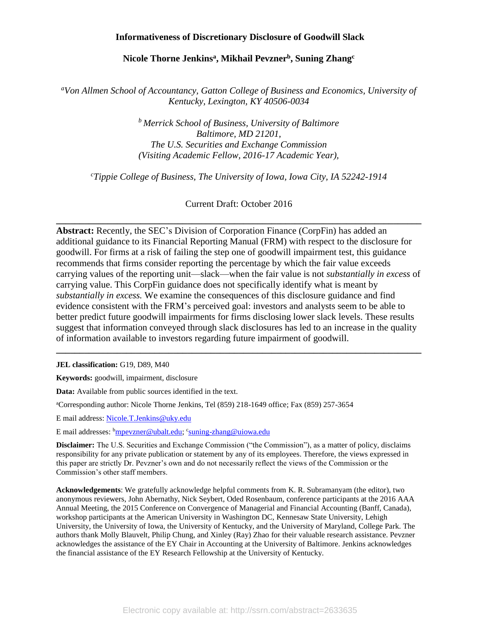### **Informativeness of Discretionary Disclosure of Goodwill Slack**

### **Nicole Thorne Jenkins<sup>a</sup> , Mikhail Pevzner<sup>b</sup> , Suning Zhang<sup>c</sup>**

*<sup>a</sup>Von Allmen School of Accountancy, Gatton College of Business and Economics, University of Kentucky, Lexington, KY 40506-0034*

> *<sup>b</sup> Merrick School of Business, University of Baltimore Baltimore, MD 21201, The U.S. Securities and Exchange Commission (Visiting Academic Fellow, 2016-17 Academic Year),*

*<sup>c</sup>Tippie College of Business, The University of Iowa, Iowa City, IA 52242-1914*

Current Draft: October 2016

**\_\_\_\_\_\_\_\_\_\_\_\_\_\_\_\_\_\_\_\_\_\_\_\_\_\_\_\_\_\_\_\_\_\_\_\_\_\_\_\_\_\_\_\_\_\_\_\_\_\_\_\_\_\_\_\_\_\_\_\_\_\_\_\_\_\_\_\_\_\_\_\_\_\_\_\_\_\_**

**Abstract:** Recently, the SEC's Division of Corporation Finance (CorpFin) has added an additional guidance to its Financial Reporting Manual (FRM) with respect to the disclosure for goodwill. For firms at a risk of failing the step one of goodwill impairment test, this guidance recommends that firms consider reporting the percentage by which the fair value exceeds carrying values of the reporting unit—slack—when the fair value is not *substantially in excess* of carrying value. This CorpFin guidance does not specifically identify what is meant by *substantially in excess.* We examine the consequences of this disclosure guidance and find evidence consistent with the FRM's perceived goal: investors and analysts seem to be able to better predict future goodwill impairments for firms disclosing lower slack levels. These results suggest that information conveyed through slack disclosures has led to an increase in the quality of information available to investors regarding future impairment of goodwill.

**\_\_\_\_\_\_\_\_\_\_\_\_\_\_\_\_\_\_\_\_\_\_\_\_\_\_\_\_\_\_\_\_\_\_\_\_\_\_\_\_\_\_\_\_\_\_\_\_\_\_\_\_\_\_\_\_\_\_\_\_\_\_\_\_\_\_\_\_\_\_\_\_\_\_\_\_\_\_**

**JEL classification:** G19, D89, M40

**Keywords:** goodwill, impairment, disclosure

**Data:** Available from public sources identified in the text.

<sup>a</sup>Corresponding author: Nicole Thorne Jenkins, Tel (859) 218-1649 office; Fax (859) 257-3654

E mail address: [Nicole.T.Jenkins@uky.edu](mailto:Nicole.T.Jenkins@uky.edu)

E mail addresses: <sup>b</sup>[mpevzner@ubalt.edu;](mailto:mpevzner@ubalt.edu) <sup>c</sup> [suning-zhang@uiowa.edu](mailto:suning-zhang@uiowa.edu)

**Disclaimer:** The U.S. Securities and Exchange Commission ("the Commission"), as a matter of policy, disclaims responsibility for any private publication or statement by any of its employees. Therefore, the views expressed in this paper are strictly Dr. Pevzner's own and do not necessarily reflect the views of the Commission or the Commission's other staff members.

**Acknowledgements**: We gratefully acknowledge helpful comments from K. R. Subramanyam (the editor), two anonymous reviewers, John Abernathy, Nick Seybert, Oded Rosenbaum, conference participants at the 2016 AAA Annual Meeting, the 2015 Conference on Convergence of Managerial and Financial Accounting (Banff, Canada), workshop participants at the American University in Washington DC, Kennesaw State University, Lehigh University, the University of Iowa, the University of Kentucky, and the University of Maryland, College Park. The authors thank Molly Blauvelt, Philip Chung, and Xinley (Ray) Zhao for their valuable research assistance. Pevzner acknowledges the assistance of the EY Chair in Accounting at the University of Baltimore. Jenkins acknowledges the financial assistance of the EY Research Fellowship at the University of Kentucky.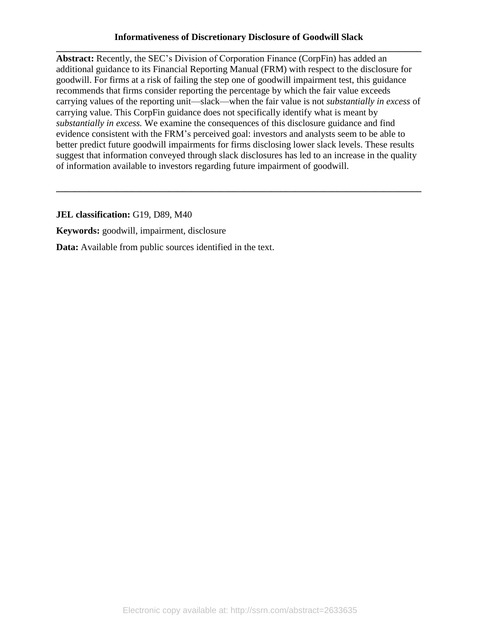## **Informativeness of Discretionary Disclosure of Goodwill Slack \_\_\_\_\_\_\_\_\_\_\_\_\_\_\_\_\_\_\_\_\_\_\_\_\_\_\_\_\_\_\_\_\_\_\_\_\_\_\_\_\_\_\_\_\_\_\_\_\_\_\_\_\_\_\_\_\_\_\_\_\_\_\_\_\_\_\_\_\_\_\_\_\_\_\_\_\_\_**

**Abstract:** Recently, the SEC's Division of Corporation Finance (CorpFin) has added an additional guidance to its Financial Reporting Manual (FRM) with respect to the disclosure for goodwill. For firms at a risk of failing the step one of goodwill impairment test, this guidance recommends that firms consider reporting the percentage by which the fair value exceeds carrying values of the reporting unit—slack—when the fair value is not *substantially in excess* of carrying value. This CorpFin guidance does not specifically identify what is meant by *substantially in excess.* We examine the consequences of this disclosure guidance and find evidence consistent with the FRM's perceived goal: investors and analysts seem to be able to better predict future goodwill impairments for firms disclosing lower slack levels. These results suggest that information conveyed through slack disclosures has led to an increase in the quality of information available to investors regarding future impairment of goodwill.

**\_\_\_\_\_\_\_\_\_\_\_\_\_\_\_\_\_\_\_\_\_\_\_\_\_\_\_\_\_\_\_\_\_\_\_\_\_\_\_\_\_\_\_\_\_\_\_\_\_\_\_\_\_\_\_\_\_\_\_\_\_\_\_\_\_\_\_\_\_\_\_\_\_\_\_\_\_\_**

**JEL classification:** G19, D89, M40

**Keywords:** goodwill, impairment, disclosure

**Data:** Available from public sources identified in the text.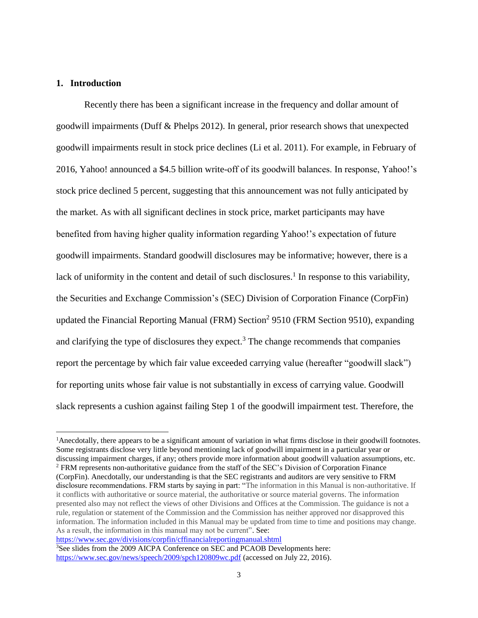### **1. Introduction**

 $\overline{a}$ 

Recently there has been a significant increase in the frequency and dollar amount of goodwill impairments (Duff & Phelps 2012). In general, prior research shows that unexpected goodwill impairments result in stock price declines (Li et al. 2011). For example, in February of 2016, Yahoo! announced a \$4.5 billion write-off of its goodwill balances. In response, Yahoo!'s stock price declined 5 percent, suggesting that this announcement was not fully anticipated by the market. As with all significant declines in stock price, market participants may have benefited from having higher quality information regarding Yahoo!'s expectation of future goodwill impairments. Standard goodwill disclosures may be informative; however, there is a lack of uniformity in the content and detail of such disclosures.<sup>1</sup> In response to this variability, the Securities and Exchange Commission's (SEC) Division of Corporation Finance (CorpFin) updated the Financial Reporting Manual (FRM) Section<sup>2</sup> 9510 (FRM Section 9510), expanding and clarifying the type of disclosures they expect.<sup>3</sup> The change recommends that companies report the percentage by which fair value exceeded carrying value (hereafter "goodwill slack") for reporting units whose fair value is not substantially in excess of carrying value. Goodwill slack represents a cushion against failing Step 1 of the goodwill impairment test. Therefore, the

<sup>2</sup> FRM represents non-authoritative guidance from the staff of the SEC's Division of Corporation Finance (CorpFin). Anecdotally, our understanding is that the SEC registrants and auditors are very sensitive to FRM disclosure recommendations. FRM starts by saying in part: "The information in this Manual is non-authoritative. If it conflicts with authoritative or source material, the authoritative or source material governs. The information presented also may not reflect the views of other Divisions and Offices at the Commission. The guidance is not a rule, regulation or statement of the Commission and the Commission has neither approved nor disapproved this information. The information included in this Manual may be updated from time to time and positions may change. As a result, the information in this manual may not be current". See: <https://www.sec.gov/divisions/corpfin/cffinancialreportingmanual.shtml>

<sup>3</sup>See slides from the 2009 AICPA Conference on SEC and PCAOB Developments here:

<sup>&</sup>lt;sup>1</sup>Anecdotally, there appears to be a significant amount of variation in what firms disclose in their goodwill footnotes. Some registrants disclose very little beyond mentioning lack of goodwill impairment in a particular year or discussing impairment charges, if any; others provide more information about goodwill valuation assumptions, etc.

<https://www.sec.gov/news/speech/2009/spch120809wc.pdf> (accessed on July 22, 2016).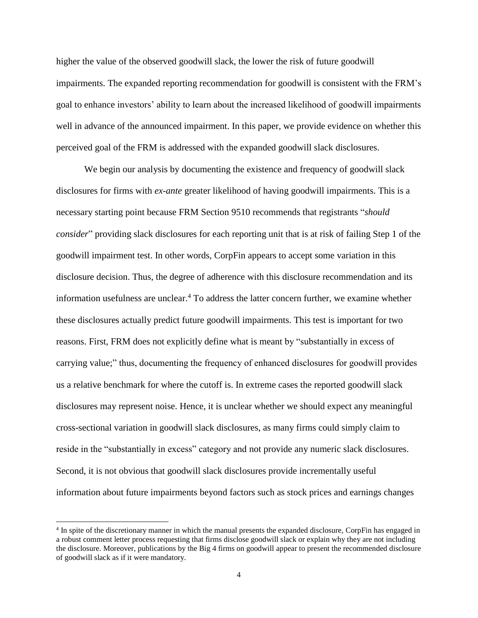higher the value of the observed goodwill slack, the lower the risk of future goodwill impairments. The expanded reporting recommendation for goodwill is consistent with the FRM's goal to enhance investors' ability to learn about the increased likelihood of goodwill impairments well in advance of the announced impairment. In this paper, we provide evidence on whether this perceived goal of the FRM is addressed with the expanded goodwill slack disclosures.

We begin our analysis by documenting the existence and frequency of goodwill slack disclosures for firms with *ex-ante* greater likelihood of having goodwill impairments. This is a necessary starting point because FRM Section 9510 recommends that registrants "*should consider*" providing slack disclosures for each reporting unit that is at risk of failing Step 1 of the goodwill impairment test. In other words, CorpFin appears to accept some variation in this disclosure decision. Thus, the degree of adherence with this disclosure recommendation and its information usefulness are unclear. <sup>4</sup> To address the latter concern further, we examine whether these disclosures actually predict future goodwill impairments. This test is important for two reasons. First, FRM does not explicitly define what is meant by "substantially in excess of carrying value;" thus, documenting the frequency of enhanced disclosures for goodwill provides us a relative benchmark for where the cutoff is. In extreme cases the reported goodwill slack disclosures may represent noise. Hence, it is unclear whether we should expect any meaningful cross-sectional variation in goodwill slack disclosures, as many firms could simply claim to reside in the "substantially in excess" category and not provide any numeric slack disclosures. Second, it is not obvious that goodwill slack disclosures provide incrementally useful information about future impairments beyond factors such as stock prices and earnings changes

<sup>&</sup>lt;sup>4</sup> In spite of the discretionary manner in which the manual presents the expanded disclosure, CorpFin has engaged in a robust comment letter process requesting that firms disclose goodwill slack or explain why they are not including the disclosure. Moreover, publications by the Big 4 firms on goodwill appear to present the recommended disclosure of goodwill slack as if it were mandatory.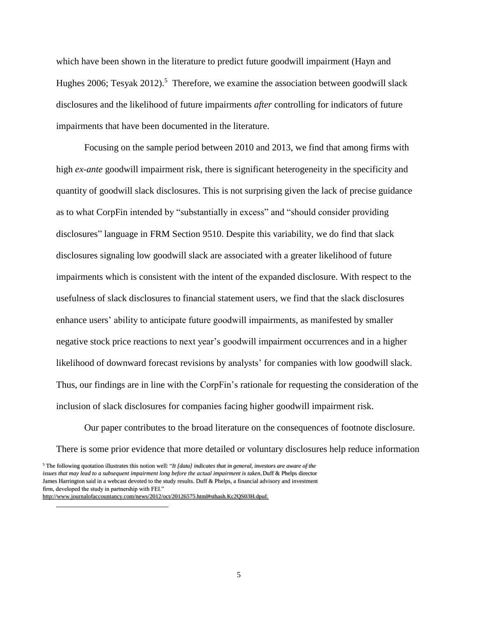which have been shown in the literature to predict future goodwill impairment (Hayn and Hughes 2006; Tesyak 2012).<sup>5</sup> Therefore, we examine the association between goodwill slack disclosures and the likelihood of future impairments *after* controlling for indicators of future impairments that have been documented in the literature.

Focusing on the sample period between 2010 and 2013, we find that among firms with high *ex-ante* goodwill impairment risk, there is significant heterogeneity in the specificity and quantity of goodwill slack disclosures. This is not surprising given the lack of precise guidance as to what CorpFin intended by "substantially in excess" and "should consider providing disclosures" language in FRM Section 9510. Despite this variability, we do find that slack disclosures signaling low goodwill slack are associated with a greater likelihood of future impairments which is consistent with the intent of the expanded disclosure. With respect to the usefulness of slack disclosures to financial statement users, we find that the slack disclosures enhance users' ability to anticipate future goodwill impairments, as manifested by smaller negative stock price reactions to next year's goodwill impairment occurrences and in a higher likelihood of downward forecast revisions by analysts' for companies with low goodwill slack. Thus, our findings are in line with the CorpFin's rationale for requesting the consideration of the inclusion of slack disclosures for companies facing higher goodwill impairment risk.

Our paper contributes to the broad literature on the consequences of footnote disclosure. There is some prior evidence that more detailed or voluntary disclosures help reduce information

<sup>5</sup> The following quotation illustrates this notion well: "*It [data] indicates that in general, investors are aware of the issues that may lead to a subsequent impairment long before the actual impairment is taken,*Duff & Phelps director James Harrington said in a webcast devoted to the study results. Duff & Phelps, a financial advisory and investment firm, developed the study in partnership with FEI."

http://www.journalofaccountancy.com/news/2012/oct/20126575.html#sthash.Kc2QS03H.dpuf.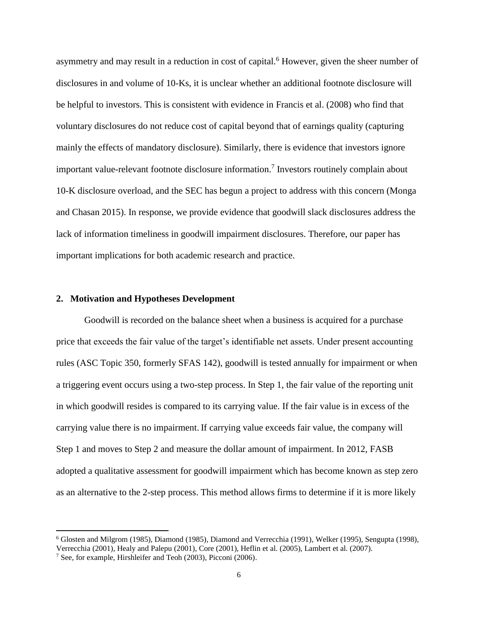asymmetry and may result in a reduction in cost of capital.<sup>6</sup> However, given the sheer number of disclosures in and volume of 10-Ks, it is unclear whether an additional footnote disclosure will be helpful to investors. This is consistent with evidence in Francis et al. (2008) who find that voluntary disclosures do not reduce cost of capital beyond that of earnings quality (capturing mainly the effects of mandatory disclosure). Similarly, there is evidence that investors ignore important value-relevant footnote disclosure information. 7 Investors routinely complain about 10-K disclosure overload, and the SEC has begun a project to address with this concern (Monga and Chasan 2015). In response, we provide evidence that goodwill slack disclosures address the lack of information timeliness in goodwill impairment disclosures. Therefore, our paper has important implications for both academic research and practice.

### **2. Motivation and Hypotheses Development**

Goodwill is recorded on the balance sheet when a business is acquired for a purchase price that exceeds the fair value of the target's identifiable net assets. Under present accounting rules (ASC Topic 350, formerly SFAS 142), goodwill is tested annually for impairment or when a triggering event occurs using a two-step process. In Step 1, the fair value of the reporting unit in which goodwill resides is compared to its carrying value. If the fair value is in excess of the carrying value there is no impairment. If carrying value exceeds fair value, the company will Step 1 and moves to Step 2 and measure the dollar amount of impairment. In 2012, FASB adopted a qualitative assessment for goodwill impairment which has become known as step zero as an alternative to the 2-step process. This method allows firms to determine if it is more likely

<sup>6</sup> Glosten and Milgrom (1985), Diamond (1985), Diamond and Verrecchia (1991), Welker (1995), Sengupta (1998), Verrecchia (2001), Healy and Palepu (2001), Core (2001), Heflin et al. (2005), Lambert et al. (2007).

<sup>7</sup> See, for example, Hirshleifer and Teoh (2003), Picconi (2006).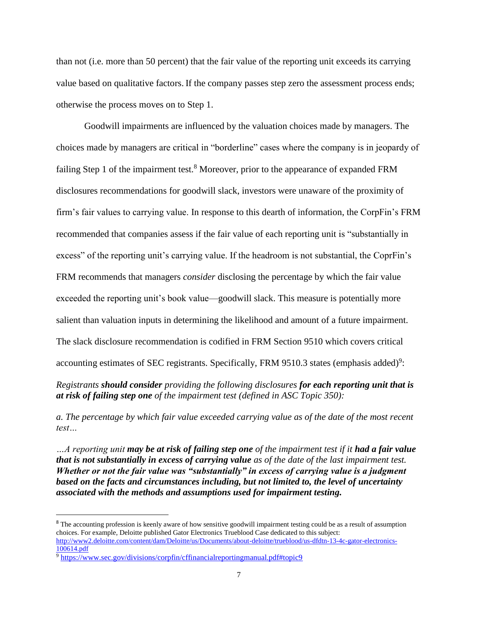than not (i.e. more than 50 percent) that the fair value of the reporting unit exceeds its carrying value based on qualitative factors. If the company passes step zero the assessment process ends; otherwise the process moves on to Step 1.

Goodwill impairments are influenced by the valuation choices made by managers. The choices made by managers are critical in "borderline" cases where the company is in jeopardy of failing Step 1 of the impairment test.<sup>8</sup> Moreover, prior to the appearance of expanded FRM disclosures recommendations for goodwill slack, investors were unaware of the proximity of firm's fair values to carrying value. In response to this dearth of information, the CorpFin's FRM recommended that companies assess if the fair value of each reporting unit is "substantially in excess" of the reporting unit's carrying value. If the headroom is not substantial, the CoprFin's FRM recommends that managers *consider* disclosing the percentage by which the fair value exceeded the reporting unit's book value—goodwill slack. This measure is potentially more salient than valuation inputs in determining the likelihood and amount of a future impairment. The slack disclosure recommendation is codified in FRM Section 9510 which covers critical accounting estimates of SEC registrants. Specifically, FRM 9510.3 states (emphasis added)<sup>9</sup>:

*Registrants should consider providing the following disclosures for each reporting unit that is at risk of failing step one of the impairment test (defined in ASC Topic 350):*

*a. The percentage by which fair value exceeded carrying value as of the date of the most recent test…*

*…A reporting unit may be at risk of failing step one of the impairment test if it had a fair value that is not substantially in excess of carrying value as of the date of the last impairment test. Whether or not the fair value was "substantially" in excess of carrying value is a judgment based on the facts and circumstances including, but not limited to, the level of uncertainty associated with the methods and assumptions used for impairment testing.*

l

<sup>&</sup>lt;sup>8</sup> The accounting profession is keenly aware of how sensitive goodwill impairment testing could be as a result of assumption choices. For example, Deloitte published Gator Electronics Trueblood Case dedicated to this subject:

[http://www2.deloitte.com/content/dam/Deloitte/us/Documents/about-deloitte/trueblood/us-dfdtn-13-4c-gator-electronics-](http://www2.deloitte.com/content/dam/Deloitte/us/Documents/about-deloitte/trueblood/us-dfdtn-13-4c-gator-electronics-100614.pdf)[100614.pdf](http://www2.deloitte.com/content/dam/Deloitte/us/Documents/about-deloitte/trueblood/us-dfdtn-13-4c-gator-electronics-100614.pdf)

<sup>9</sup> <https://www.sec.gov/divisions/corpfin/cffinancialreportingmanual.pdf#topic9>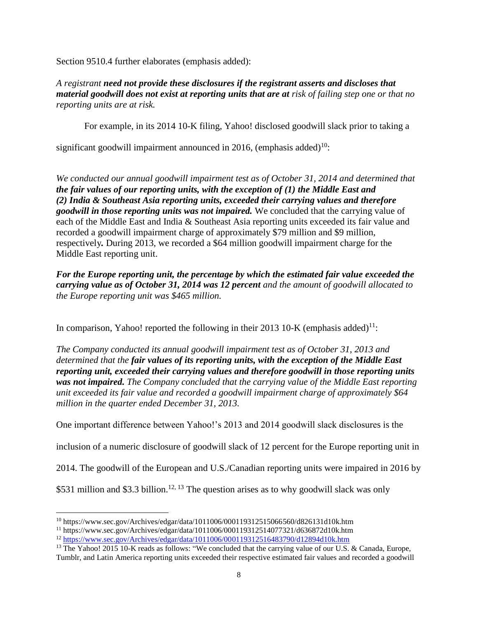Section 9510.4 further elaborates (emphasis added):

*A registrant need not provide these disclosures if the registrant asserts and discloses that material goodwill does not exist at reporting units that are at risk of failing step one or that no reporting units are at risk.* 

For example, in its 2014 10-K filing, Yahoo! disclosed goodwill slack prior to taking a

significant goodwill impairment announced in 2016, (emphasis added)<sup>10</sup>:

*We conducted our annual goodwill impairment test as of October 31, 2014 and determined that the fair values of our reporting units, with the exception of (1) the Middle East and (2) India & Southeast Asia reporting units, exceeded their carrying values and therefore goodwill in those reporting units was not impaired.* We concluded that the carrying value of each of the Middle East and India & Southeast Asia reporting units exceeded its fair value and recorded a goodwill impairment charge of approximately \$79 million and \$9 million, respectively*.* During 2013, we recorded a \$64 million goodwill impairment charge for the Middle East reporting unit.

*For the Europe reporting unit, the percentage by which the estimated fair value exceeded the carrying value as of October 31, 2014 was 12 percent and the amount of goodwill allocated to the Europe reporting unit was \$465 million.*

In comparison, Yahoo! reported the following in their 2013 10-K (emphasis added)<sup>11</sup>:

*The Company conducted its annual goodwill impairment test as of October 31, 2013 and determined that the fair values of its reporting units, with the exception of the Middle East reporting unit, exceeded their carrying values and therefore goodwill in those reporting units was not impaired. The Company concluded that the carrying value of the Middle East reporting unit exceeded its fair value and recorded a goodwill impairment charge of approximately \$64 million in the quarter ended December 31, 2013.*

One important difference between Yahoo!'s 2013 and 2014 goodwill slack disclosures is the

inclusion of a numeric disclosure of goodwill slack of 12 percent for the Europe reporting unit in

2014. The goodwill of the European and U.S./Canadian reporting units were impaired in 2016 by

\$531 million and \$3.3 billion.<sup>12, 13</sup> The question arises as to why goodwill slack was only

 $\overline{a}$ <sup>10</sup> https://www.sec.gov/Archives/edgar/data/1011006/000119312515066560/d826131d10k.htm

 $^{11}$  https://www.sec.gov/Archives/edgar/data/1011006/000119312514077321/d636872d10k.htm

<sup>12</sup> <https://www.sec.gov/Archives/edgar/data/1011006/000119312516483790/d12894d10k.htm>

<sup>&</sup>lt;sup>13</sup> The Yahoo! 2015 10-K reads as follows: "We concluded that the carrying value of our U.S. & Canada, Europe, Tumblr, and Latin America reporting units exceeded their respective estimated fair values and recorded a goodwill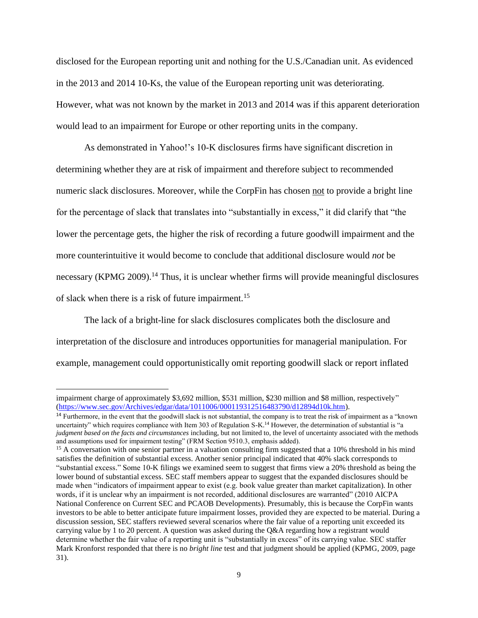disclosed for the European reporting unit and nothing for the U.S./Canadian unit. As evidenced in the 2013 and 2014 10-Ks, the value of the European reporting unit was deteriorating. However, what was not known by the market in 2013 and 2014 was if this apparent deterioration would lead to an impairment for Europe or other reporting units in the company.

As demonstrated in Yahoo!'s 10-K disclosures firms have significant discretion in determining whether they are at risk of impairment and therefore subject to recommended numeric slack disclosures. Moreover, while the CorpFin has chosen not to provide a bright line for the percentage of slack that translates into "substantially in excess," it did clarify that "the lower the percentage gets, the higher the risk of recording a future goodwill impairment and the more counterintuitive it would become to conclude that additional disclosure would *not* be necessary (KPMG 2009).<sup>14</sup> Thus, it is unclear whether firms will provide meaningful disclosures of slack when there is a risk of future impairment.<sup>15</sup>

The lack of a bright-line for slack disclosures complicates both the disclosure and interpretation of the disclosure and introduces opportunities for managerial manipulation. For example, management could opportunistically omit reporting goodwill slack or report inflated

impairment charge of approximately \$3,692 million, \$531 million, \$230 million and \$8 million, respectively" [\(https://www.sec.gov/Archives/edgar/data/1011006/000119312516483790/d12894d10k.htm\)](https://www.sec.gov/Archives/edgar/data/1011006/000119312516483790/d12894d10k.htm).

<sup>&</sup>lt;sup>14</sup> Furthermore, in the event that the goodwill slack is not substantial, the company is to treat the risk of impairment as a "known" uncertainty" which requires compliance with Item 303 of Regulation S-K.<sup>14</sup> However, the determination of substantial is "a *judgment based on the facts and circumstances* including, but not limited to, the level of uncertainty associated with the methods and assumptions used for impairment testing" (FRM Section 9510.3, emphasis added).

<sup>&</sup>lt;sup>15</sup> A conversation with one senior partner in a valuation consulting firm suggested that a 10% threshold in his mind satisfies the definition of substantial excess. Another senior principal indicated that 40% slack corresponds to "substantial excess." Some 10-K filings we examined seem to suggest that firms view a 20% threshold as being the lower bound of substantial excess. SEC staff members appear to suggest that the expanded disclosures should be made when "indicators of impairment appear to exist (e.g. book value greater than market capitalization). In other words, if it is unclear why an impairment is not recorded, additional disclosures are warranted" (2010 AICPA National Conference on Current SEC and PCAOB Developments). Presumably, this is because the CorpFin wants investors to be able to better anticipate future impairment losses, provided they are expected to be material. During a discussion session, SEC staffers reviewed several scenarios where the fair value of a reporting unit exceeded its carrying value by 1 to 20 percent. A question was asked during the Q&A regarding how a registrant would determine whether the fair value of a reporting unit is "substantially in excess" of its carrying value. SEC staffer Mark Kronforst responded that there is no *bright line* test and that judgment should be applied (KPMG, 2009, page 31).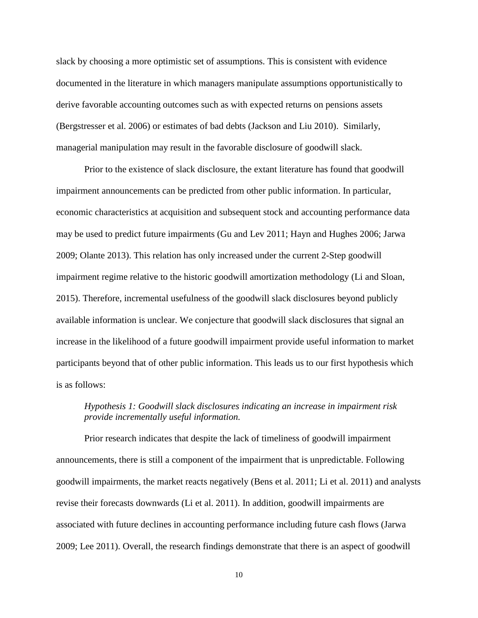slack by choosing a more optimistic set of assumptions. This is consistent with evidence documented in the literature in which managers manipulate assumptions opportunistically to derive favorable accounting outcomes such as with expected returns on pensions assets (Bergstresser et al. 2006) or estimates of bad debts (Jackson and Liu 2010). Similarly, managerial manipulation may result in the favorable disclosure of goodwill slack.

Prior to the existence of slack disclosure, the extant literature has found that goodwill impairment announcements can be predicted from other public information. In particular, economic characteristics at acquisition and subsequent stock and accounting performance data may be used to predict future impairments (Gu and Lev 2011; Hayn and Hughes 2006; Jarwa 2009; Olante 2013). This relation has only increased under the current 2-Step goodwill impairment regime relative to the historic goodwill amortization methodology (Li and Sloan, 2015). Therefore, incremental usefulness of the goodwill slack disclosures beyond publicly available information is unclear. We conjecture that goodwill slack disclosures that signal an increase in the likelihood of a future goodwill impairment provide useful information to market participants beyond that of other public information. This leads us to our first hypothesis which is as follows:

## *Hypothesis 1: Goodwill slack disclosures indicating an increase in impairment risk provide incrementally useful information.*

Prior research indicates that despite the lack of timeliness of goodwill impairment announcements, there is still a component of the impairment that is unpredictable. Following goodwill impairments, the market reacts negatively (Bens et al. 2011; Li et al. 2011) and analysts revise their forecasts downwards (Li et al. 2011). In addition, goodwill impairments are associated with future declines in accounting performance including future cash flows (Jarwa 2009; Lee 2011). Overall, the research findings demonstrate that there is an aspect of goodwill

10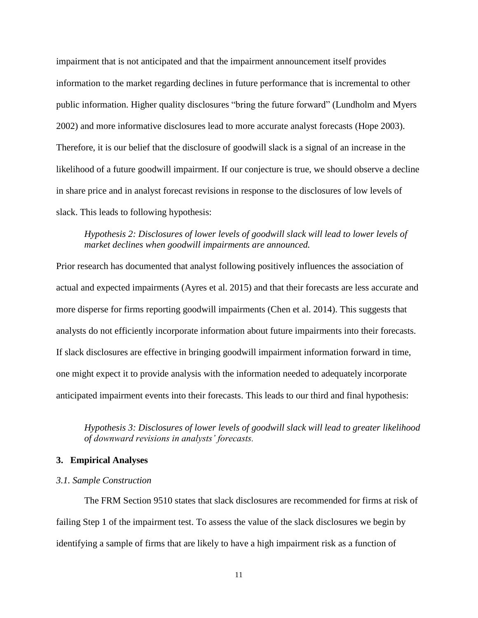impairment that is not anticipated and that the impairment announcement itself provides information to the market regarding declines in future performance that is incremental to other public information. Higher quality disclosures "bring the future forward" (Lundholm and Myers 2002) and more informative disclosures lead to more accurate analyst forecasts (Hope 2003). Therefore, it is our belief that the disclosure of goodwill slack is a signal of an increase in the likelihood of a future goodwill impairment. If our conjecture is true, we should observe a decline in share price and in analyst forecast revisions in response to the disclosures of low levels of slack. This leads to following hypothesis:

## *Hypothesis 2: Disclosures of lower levels of goodwill slack will lead to lower levels of market declines when goodwill impairments are announced.*

Prior research has documented that analyst following positively influences the association of actual and expected impairments (Ayres et al. 2015) and that their forecasts are less accurate and more disperse for firms reporting goodwill impairments (Chen et al. 2014). This suggests that analysts do not efficiently incorporate information about future impairments into their forecasts. If slack disclosures are effective in bringing goodwill impairment information forward in time, one might expect it to provide analysis with the information needed to adequately incorporate anticipated impairment events into their forecasts. This leads to our third and final hypothesis:

*Hypothesis 3: Disclosures of lower levels of goodwill slack will lead to greater likelihood of downward revisions in analysts' forecasts.* 

### **3. Empirical Analyses**

### *3.1. Sample Construction*

The FRM Section 9510 states that slack disclosures are recommended for firms at risk of failing Step 1 of the impairment test. To assess the value of the slack disclosures we begin by identifying a sample of firms that are likely to have a high impairment risk as a function of

11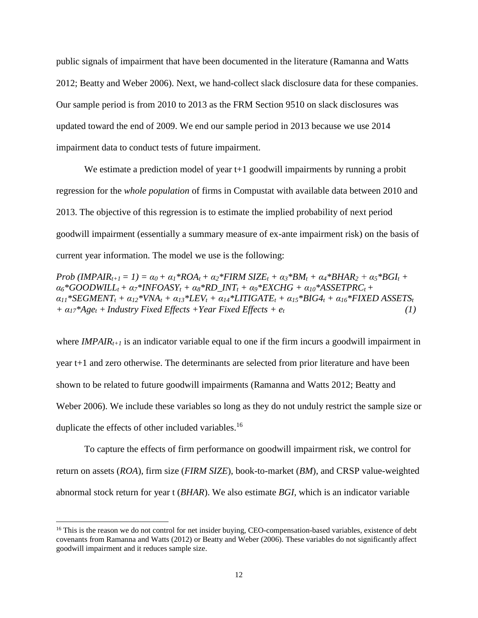public signals of impairment that have been documented in the literature (Ramanna and Watts 2012; Beatty and Weber 2006). Next, we hand-collect slack disclosure data for these companies. Our sample period is from 2010 to 2013 as the FRM Section 9510 on slack disclosures was updated toward the end of 2009. We end our sample period in 2013 because we use 2014 impairment data to conduct tests of future impairment.

We estimate a prediction model of year t+1 goodwill impairments by running a probit regression for the *whole population* of firms in Compustat with available data between 2010 and 2013. The objective of this regression is to estimate the implied probability of next period goodwill impairment (essentially a summary measure of ex-ante impairment risk) on the basis of current year information. The model we use is the following:

Prob (IMPAIR<sub>t+1</sub> = 1) =  $\alpha_0 + \alpha_1 * ROA_t + \alpha_2 * FIRM SIZE_t + \alpha_3 * BM_t + \alpha_4 * BHAR_2 + \alpha_5 * BGI_t +$  $a_6*GOODWILL_t + a_7*INFOASY_t + a_8*RDINT_t + a_9*EXCHG + a_{10}*ASSETPRC_t +$  $\alpha_{11}$ \*SEGMENT<sub>t</sub> +  $\alpha_{12}$ \*VNA<sub>t</sub> +  $\alpha_{13}$ \*LEV<sub>t</sub> +  $\alpha_{14}$ \*LITIGATE<sub>t</sub> +  $\alpha_{15}$ \*BIG4<sub>t</sub> +  $\alpha_{16}$ \*FIXED ASSETS<sub>t</sub>  $+ \alpha_{17}$ <sup>\*</sup>Age<sub>t</sub></sub> + Industry Fixed Effects + Year Fixed Effects +  $e_t$  (1)

where *IMPAIRt+1* is an indicator variable equal to one if the firm incurs a goodwill impairment in year t+1 and zero otherwise. The determinants are selected from prior literature and have been shown to be related to future goodwill impairments (Ramanna and Watts 2012; Beatty and Weber 2006). We include these variables so long as they do not unduly restrict the sample size or duplicate the effects of other included variables.<sup>16</sup>

To capture the effects of firm performance on goodwill impairment risk, we control for return on assets (*ROA*), firm size (*FIRM SIZE*), book-to-market (*BM*), and CRSP value-weighted abnormal stock return for year t (*BHAR*). We also estimate *BGI,* which is an indicator variable

<sup>&</sup>lt;sup>16</sup> This is the reason we do not control for net insider buying, CEO-compensation-based variables, existence of debt covenants from Ramanna and Watts (2012) or Beatty and Weber (2006). These variables do not significantly affect goodwill impairment and it reduces sample size.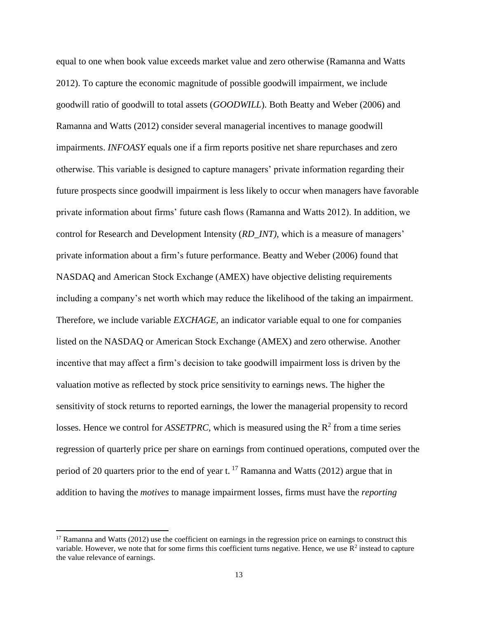equal to one when book value exceeds market value and zero otherwise (Ramanna and Watts 2012). To capture the economic magnitude of possible goodwill impairment, we include goodwill ratio of goodwill to total assets (*GOODWILL*). Both Beatty and Weber (2006) and Ramanna and Watts (2012) consider several managerial incentives to manage goodwill impairments. *INFOASY* equals one if a firm reports positive net share repurchases and zero otherwise. This variable is designed to capture managers' private information regarding their future prospects since goodwill impairment is less likely to occur when managers have favorable private information about firms' future cash flows (Ramanna and Watts 2012). In addition, we control for Research and Development Intensity (*RD\_INT)*, which is a measure of managers' private information about a firm's future performance. Beatty and Weber (2006) found that NASDAQ and American Stock Exchange (AMEX) have objective delisting requirements including a company's net worth which may reduce the likelihood of the taking an impairment. Therefore, we include variable *EXCHAGE*, an indicator variable equal to one for companies listed on the NASDAQ or American Stock Exchange (AMEX) and zero otherwise. Another incentive that may affect a firm's decision to take goodwill impairment loss is driven by the valuation motive as reflected by stock price sensitivity to earnings news. The higher the sensitivity of stock returns to reported earnings, the lower the managerial propensity to record losses. Hence we control for  $ASSETPRC$ , which is measured using the  $R^2$  from a time series regression of quarterly price per share on earnings from continued operations, computed over the period of 20 quarters prior to the end of year t. <sup>17</sup> Ramanna and Watts (2012) argue that in addition to having the *motives* to manage impairment losses, firms must have the *reporting* 

 $17$  Ramanna and Watts (2012) use the coefficient on earnings in the regression price on earnings to construct this variable. However, we note that for some firms this coefficient turns negative. Hence, we use  $R^2$  instead to capture the value relevance of earnings.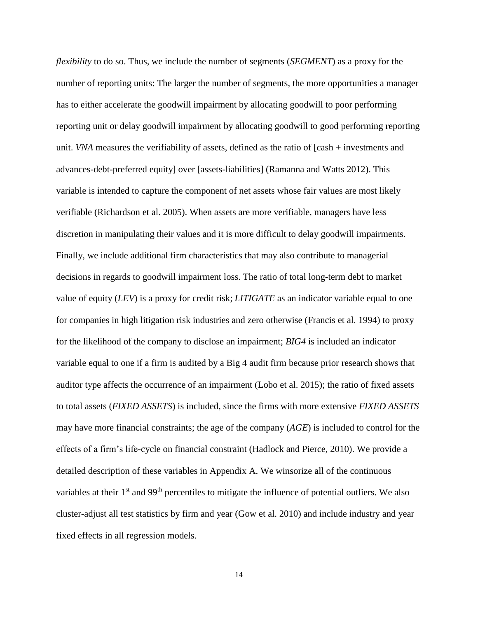*flexibility* to do so. Thus, we include the number of segments (*SEGMENT*) as a proxy for the number of reporting units: The larger the number of segments, the more opportunities a manager has to either accelerate the goodwill impairment by allocating goodwill to poor performing reporting unit or delay goodwill impairment by allocating goodwill to good performing reporting unit. *VNA* measures the verifiability of assets, defined as the ratio of [cash + investments and advances-debt-preferred equity] over [assets-liabilities] (Ramanna and Watts 2012). This variable is intended to capture the component of net assets whose fair values are most likely verifiable (Richardson et al. 2005). When assets are more verifiable, managers have less discretion in manipulating their values and it is more difficult to delay goodwill impairments. Finally, we include additional firm characteristics that may also contribute to managerial decisions in regards to goodwill impairment loss. The ratio of total long-term debt to market value of equity (*LEV*) is a proxy for credit risk; *LITIGATE* as an indicator variable equal to one for companies in high litigation risk industries and zero otherwise (Francis et al. 1994) to proxy for the likelihood of the company to disclose an impairment; *BIG4* is included an indicator variable equal to one if a firm is audited by a Big 4 audit firm because prior research shows that auditor type affects the occurrence of an impairment (Lobo et al. 2015); the ratio of fixed assets to total assets (*FIXED ASSETS*) is included, since the firms with more extensive *FIXED ASSETS* may have more financial constraints; the age of the company (*AGE*) is included to control for the effects of a firm's life-cycle on financial constraint (Hadlock and Pierce, 2010). We provide a detailed description of these variables in Appendix A. We winsorize all of the continuous variables at their 1<sup>st</sup> and 99<sup>th</sup> percentiles to mitigate the influence of potential outliers. We also cluster-adjust all test statistics by firm and year (Gow et al. 2010) and include industry and year fixed effects in all regression models.

14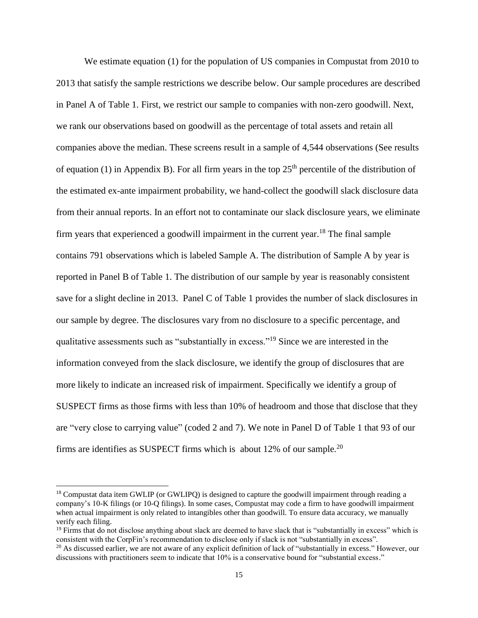We estimate equation (1) for the population of US companies in Compustat from 2010 to 2013 that satisfy the sample restrictions we describe below. Our sample procedures are described in Panel A of Table 1. First, we restrict our sample to companies with non-zero goodwill. Next, we rank our observations based on goodwill as the percentage of total assets and retain all companies above the median. These screens result in a sample of 4,544 observations (See results of equation (1) in Appendix B). For all firm years in the top  $25<sup>th</sup>$  percentile of the distribution of the estimated ex-ante impairment probability, we hand-collect the goodwill slack disclosure data from their annual reports. In an effort not to contaminate our slack disclosure years, we eliminate firm years that experienced a goodwill impairment in the current year.<sup>18</sup> The final sample contains 791 observations which is labeled Sample A. The distribution of Sample A by year is reported in Panel B of Table 1. The distribution of our sample by year is reasonably consistent save for a slight decline in 2013. Panel C of Table 1 provides the number of slack disclosures in our sample by degree. The disclosures vary from no disclosure to a specific percentage, and qualitative assessments such as "substantially in excess."<sup>19</sup> Since we are interested in the information conveyed from the slack disclosure, we identify the group of disclosures that are more likely to indicate an increased risk of impairment. Specifically we identify a group of SUSPECT firms as those firms with less than 10% of headroom and those that disclose that they are "very close to carrying value" (coded 2 and 7). We note in Panel D of Table 1 that 93 of our firms are identifies as SUSPECT firms which is about 12% of our sample*.* 20

 $\overline{a}$ 

<sup>&</sup>lt;sup>18</sup> Compustat data item GWLIP (or GWLIPQ) is designed to capture the goodwill impairment through reading a company's 10-K filings (or 10-Q filings). In some cases, Compustat may code a firm to have goodwill impairment when actual impairment is only related to intangibles other than goodwill. To ensure data accuracy, we manually verify each filing.

 $19$  Firms that do not disclose anything about slack are deemed to have slack that is "substantially in excess" which is consistent with the CorpFin's recommendation to disclose only if slack is not "substantially in excess".

 $20$  As discussed earlier, we are not aware of any explicit definition of lack of "substantially in excess." However, our discussions with practitioners seem to indicate that 10% is a conservative bound for "substantial excess."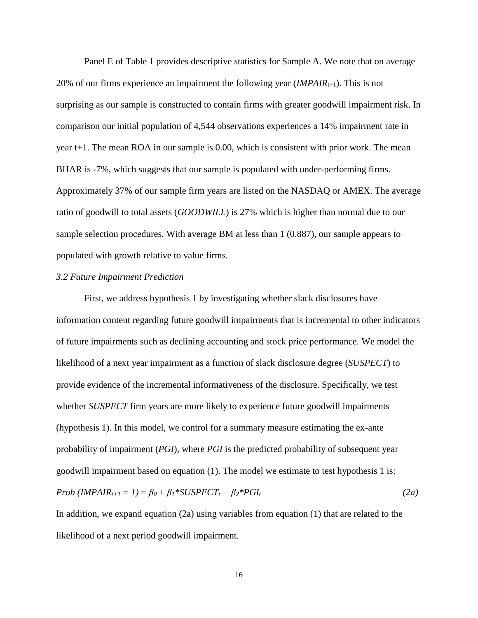Panel E of Table 1 provides descriptive statistics for Sample A. We note that on average 20% of our firms experience an impairment the following year *(IMPAIR<sub>t+1</sub>)*. This is not surprising as our sample is constructed to contain firms with greater goodwill impairment risk. In comparison our initial population of 4,544 observations experiences a 14% impairment rate in year t+1. The mean ROA in our sample is 0.00, which is consistent with prior work. The mean BHAR is -7%, which suggests that our sample is populated with under-performing firms. Approximately 37% of our sample firm years are listed on the NASDAQ or AMEX. The average ratio of goodwill to total assets (*GOODWILL*) is 27% which is higher than normal due to our sample selection procedures. With average BM at less than 1 (0.887), our sample appears to populated with growth relative to value firms.

### *3.2 Future Impairment Prediction*

First, we address hypothesis 1 by investigating whether slack disclosures have information content regarding future goodwill impairments that is incremental to other indicators of future impairments such as declining accounting and stock price performance. We model the likelihood of a next year impairment as a function of slack disclosure degree (*SUSPECT*) to provide evidence of the incremental informativeness of the disclosure. Specifically, we test whether *SUSPECT* firm years are more likely to experience future goodwill impairments (hypothesis 1). In this model, we control for a summary measure estimating the ex-ante probability of impairment (*PGI*), where *PGI* is the predicted probability of subsequent year goodwill impairment based on equation (1). The model we estimate to test hypothesis 1 is:  $Prob (IMPAIR_{t+1} = 1) = \beta_0 + \beta_1 * SUBPECT_t + \beta_2 * PGI_t$  (2a)

In addition, we expand equation (2a) using variables from equation (1) that are related to the likelihood of a next period goodwill impairment.

16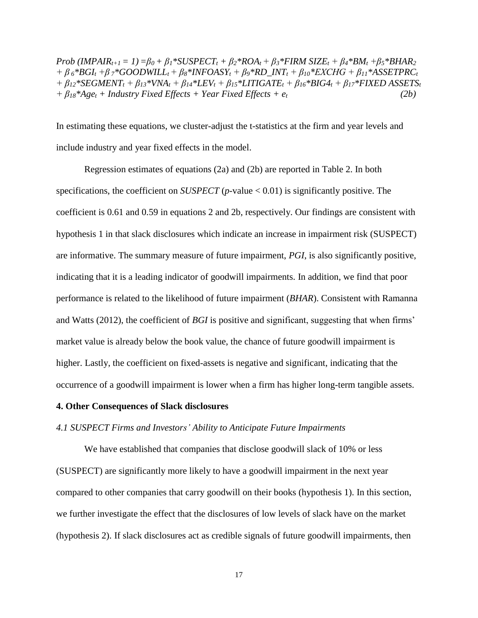Prob (IMPAIR<sub>t+1</sub> = 1) =  $\beta_0$  +  $\beta_1$ \*SUSPECT<sub>t</sub> +  $\beta_2$ \*ROA<sub>t</sub> +  $\beta_3$ \*FIRM SIZE<sub>t</sub> +  $\beta_4$ \*BM<sub>t</sub> +  $\beta_5$ \*BHAR<sub>2</sub> +  $\beta_6$ \*BGI<sub>t</sub> +  $\beta_7$ \*GOODWILL<sub>t</sub> +  $\beta_8$ \*INFOASY<sub>t</sub> +  $\beta_9$ \*RD\_INT<sub>t</sub> +  $\beta_{10}$ \*EXCHG +  $\beta_{11}$ \*ASSETPRC<sub>t</sub>  $+\beta_{12}$ \*SEGMENT<sub>t</sub> +  $\beta_{13}$ \*VNA<sub>t</sub> +  $\beta_{14}$ \*LEV<sub>t</sub> +  $\beta_{15}$ \*LITIGATE<sub>t</sub> +  $\beta_{16}$ \*BIG4<sub>t</sub> +  $\beta_{17}$ \*FIXED ASSETS<sub>t</sub>  $+ \beta_{18} * Age_t + Industry Fixed Effects + Year Fixed Effects + *e_t*$  (2b)

In estimating these equations, we cluster-adjust the t-statistics at the firm and year levels and include industry and year fixed effects in the model.

Regression estimates of equations (2a) and (2b) are reported in Table 2. In both specifications, the coefficient on *SUSPECT* (*p*-value < 0.01) is significantly positive. The coefficient is 0.61 and 0.59 in equations 2 and 2b, respectively. Our findings are consistent with hypothesis 1 in that slack disclosures which indicate an increase in impairment risk (SUSPECT) are informative. The summary measure of future impairment, *PGI*, is also significantly positive, indicating that it is a leading indicator of goodwill impairments. In addition, we find that poor performance is related to the likelihood of future impairment (*BHAR*). Consistent with Ramanna and Watts (2012), the coefficient of *BGI* is positive and significant, suggesting that when firms' market value is already below the book value, the chance of future goodwill impairment is higher. Lastly, the coefficient on fixed-assets is negative and significant, indicating that the occurrence of a goodwill impairment is lower when a firm has higher long-term tangible assets.

### **4. Other Consequences of Slack disclosures**

### *4.1 SUSPECT Firms and Investors' Ability to Anticipate Future Impairments*

We have established that companies that disclose goodwill slack of 10% or less (SUSPECT) are significantly more likely to have a goodwill impairment in the next year compared to other companies that carry goodwill on their books (hypothesis 1). In this section, we further investigate the effect that the disclosures of low levels of slack have on the market (hypothesis 2). If slack disclosures act as credible signals of future goodwill impairments, then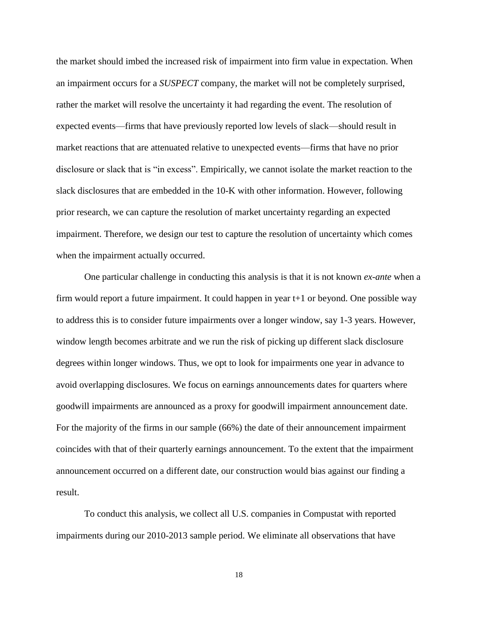the market should imbed the increased risk of impairment into firm value in expectation. When an impairment occurs for a *SUSPECT* company, the market will not be completely surprised, rather the market will resolve the uncertainty it had regarding the event. The resolution of expected events—firms that have previously reported low levels of slack—should result in market reactions that are attenuated relative to unexpected events—firms that have no prior disclosure or slack that is "in excess". Empirically, we cannot isolate the market reaction to the slack disclosures that are embedded in the 10-K with other information. However, following prior research, we can capture the resolution of market uncertainty regarding an expected impairment. Therefore, we design our test to capture the resolution of uncertainty which comes when the impairment actually occurred.

One particular challenge in conducting this analysis is that it is not known *ex-ante* when a firm would report a future impairment. It could happen in year t+1 or beyond. One possible way to address this is to consider future impairments over a longer window, say 1-3 years. However, window length becomes arbitrate and we run the risk of picking up different slack disclosure degrees within longer windows. Thus, we opt to look for impairments one year in advance to avoid overlapping disclosures. We focus on earnings announcements dates for quarters where goodwill impairments are announced as a proxy for goodwill impairment announcement date. For the majority of the firms in our sample (66%) the date of their announcement impairment coincides with that of their quarterly earnings announcement. To the extent that the impairment announcement occurred on a different date, our construction would bias against our finding a result.

To conduct this analysis, we collect all U.S. companies in Compustat with reported impairments during our 2010-2013 sample period. We eliminate all observations that have

18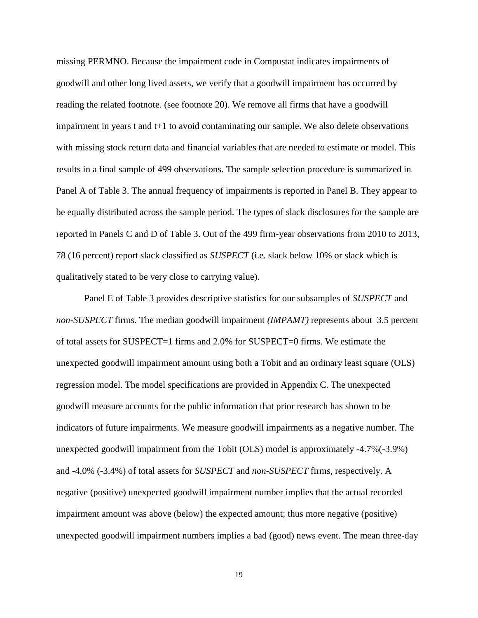missing PERMNO. Because the impairment code in Compustat indicates impairments of goodwill and other long lived assets, we verify that a goodwill impairment has occurred by reading the related footnote. (see footnote 20). We remove all firms that have a goodwill impairment in years t and t+1 to avoid contaminating our sample. We also delete observations with missing stock return data and financial variables that are needed to estimate or model. This results in a final sample of 499 observations. The sample selection procedure is summarized in Panel A of Table 3. The annual frequency of impairments is reported in Panel B. They appear to be equally distributed across the sample period. The types of slack disclosures for the sample are reported in Panels C and D of Table 3. Out of the 499 firm-year observations from 2010 to 2013, 78 (16 percent) report slack classified as *SUSPECT* (i.e. slack below 10% or slack which is qualitatively stated to be very close to carrying value).

Panel E of Table 3 provides descriptive statistics for our subsamples of *SUSPECT* and *non-SUSPECT* firms. The median goodwill impairment *(IMPAMT)* represents about 3.5 percent of total assets for SUSPECT=1 firms and 2.0% for SUSPECT=0 firms. We estimate the unexpected goodwill impairment amount using both a Tobit and an ordinary least square (OLS) regression model. The model specifications are provided in Appendix C. The unexpected goodwill measure accounts for the public information that prior research has shown to be indicators of future impairments. We measure goodwill impairments as a negative number. The unexpected goodwill impairment from the Tobit (OLS) model is approximately -4.7%(-3.9%) and -4.0% (-3.4%) of total assets for *SUSPECT* and *non-SUSPECT* firms, respectively. A negative (positive) unexpected goodwill impairment number implies that the actual recorded impairment amount was above (below) the expected amount; thus more negative (positive) unexpected goodwill impairment numbers implies a bad (good) news event. The mean three-day

19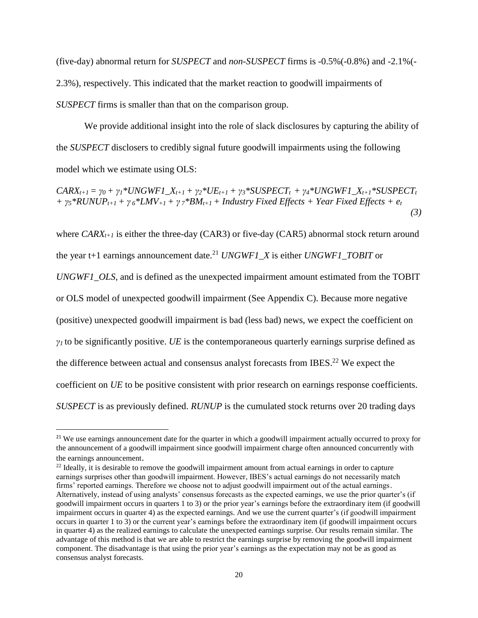(five-day) abnormal return for *SUSPECT* and *non-SUSPECT* firms is -0.5%(-0.8%) and -2.1%(- 2.3%), respectively. This indicated that the market reaction to goodwill impairments of *SUSPECT* firms is smaller than that on the comparison group.

We provide additional insight into the role of slack disclosures by capturing the ability of the *SUSPECT* disclosers to credibly signal future goodwill impairments using the following model which we estimate using OLS:

 $CARX_{t+1} = \gamma_0 + \gamma_1 * UNGWFI\_X_{t+1} + \gamma_2 * UE_{t+1} + \gamma_3 * SUBPECT_t + \gamma_4 * UNGWFI\_X_{t+1} * SUBPECT_t$ +  $\gamma_5$ \*RUNUP<sub>t+1</sub> +  $\gamma_6$ \*LMV<sub>+1</sub> +  $\gamma_7$ \*BM<sub>t+1</sub> + Industry Fixed Effects + Year Fixed Effects + e<sub>t</sub>  *(3)* 

where *CARXt+1* is either the three-day (CAR3) or five-day (CAR5) abnormal stock return around the year t+1 earnings announcement date. <sup>21</sup> *UNGWF1\_X* is either *UNGWF1\_TOBIT* or

*UNGWF1\_OLS*, and is defined as the unexpected impairment amount estimated from the TOBIT or OLS model of unexpected goodwill impairment (See Appendix C). Because more negative (positive) unexpected goodwill impairment is bad (less bad) news, we expect the coefficient on  $\gamma$ <sup>*I*</sup> to be significantly positive. *UE* is the contemporaneous quarterly earnings surprise defined as the difference between actual and consensus analyst forecasts from IBES.<sup>22</sup> We expect the coefficient on *UE* to be positive consistent with prior research on earnings response coefficients. *SUSPECT* is as previously defined. *RUNUP* is the cumulated stock returns over 20 trading days

<sup>&</sup>lt;sup>21</sup> We use earnings announcement date for the quarter in which a goodwill impairment actually occurred to proxy for the announcement of a goodwill impairment since goodwill impairment charge often announced concurrently with the earnings announcement.

<sup>&</sup>lt;sup>22</sup> Ideally, it is desirable to remove the goodwill impairment amount from actual earnings in order to capture earnings surprises other than goodwill impairment. However, IBES's actual earnings do not necessarily match firms' reported earnings. Therefore we choose not to adjust goodwill impairment out of the actual earnings. Alternatively, instead of using analysts' consensus forecasts as the expected earnings, we use the prior quarter's (if goodwill impairment occurs in quarters 1 to 3) or the prior year's earnings before the extraordinary item (if goodwill impairment occurs in quarter 4) as the expected earnings. And we use the current quarter's (if goodwill impairment occurs in quarter 1 to 3) or the current year's earnings before the extraordinary item (if goodwill impairment occurs in quarter 4) as the realized earnings to calculate the unexpected earnings surprise. Our results remain similar. The advantage of this method is that we are able to restrict the earnings surprise by removing the goodwill impairment component. The disadvantage is that using the prior year's earnings as the expectation may not be as good as consensus analyst forecasts.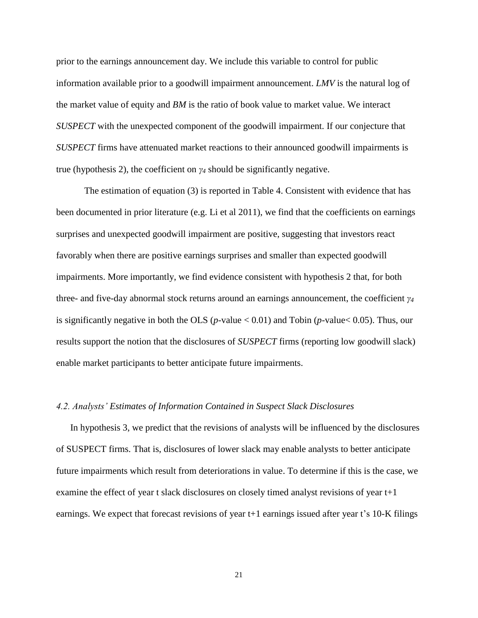prior to the earnings announcement day. We include this variable to control for public information available prior to a goodwill impairment announcement. *LMV* is the natural log of the market value of equity and *BM* is the ratio of book value to market value. We interact *SUSPECT* with the unexpected component of the goodwill impairment. If our conjecture that *SUSPECT* firms have attenuated market reactions to their announced goodwill impairments is true (hypothesis 2), the coefficient on *γ<sup>4</sup>* should be significantly negative.

The estimation of equation (3) is reported in Table 4. Consistent with evidence that has been documented in prior literature (e.g. Li et al 2011), we find that the coefficients on earnings surprises and unexpected goodwill impairment are positive, suggesting that investors react favorably when there are positive earnings surprises and smaller than expected goodwill impairments. More importantly, we find evidence consistent with hypothesis 2 that, for both three- and five-day abnormal stock returns around an earnings announcement, the coefficient *γ<sup>4</sup>* is significantly negative in both the OLS ( $p$ -value < 0.01) and Tobin ( $p$ -value < 0.05). Thus, our results support the notion that the disclosures of *SUSPECT* firms (reporting low goodwill slack) enable market participants to better anticipate future impairments.

### *4.2. Analysts' Estimates of Information Contained in Suspect Slack Disclosures*

In hypothesis 3, we predict that the revisions of analysts will be influenced by the disclosures of SUSPECT firms. That is, disclosures of lower slack may enable analysts to better anticipate future impairments which result from deteriorations in value. To determine if this is the case, we examine the effect of year t slack disclosures on closely timed analyst revisions of year t+1 earnings. We expect that forecast revisions of year t+1 earnings issued after year t's 10-K filings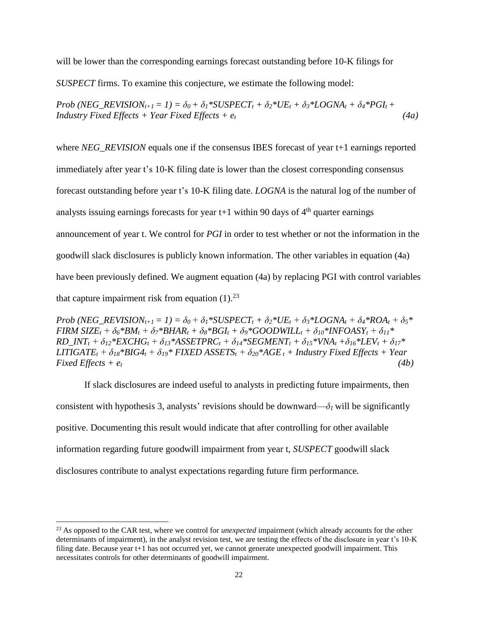will be lower than the corresponding earnings forecast outstanding before 10-K filings for

*SUSPECT* firms. To examine this conjecture, we estimate the following model:

Prob (NEG REVISION<sub>t+1</sub> = 1) =  $\delta_0 + \delta_1$ \*SUSPECT<sub>t</sub> +  $\delta_2$ \*UE<sub>t</sub> +  $\delta_3$ \*LOGNA<sub>t</sub> +  $\delta_4$ \*PGI<sub>t</sub> + *Industry Fixed Effects + Year Fixed Effects + et (4a)*

where *NEG\_REVISION* equals one if the consensus IBES forecast of year t+1 earnings reported immediately after year t's 10-K filing date is lower than the closest corresponding consensus forecast outstanding before year t's 10-K filing date. *LOGNA* is the natural log of the number of analysts issuing earnings forecasts for year  $t+1$  within 90 days of  $4<sup>th</sup>$  quarter earnings announcement of year t. We control for *PGI* in order to test whether or not the information in the goodwill slack disclosures is publicly known information. The other variables in equation (4a) have been previously defined. We augment equation (4a) by replacing PGI with control variables that capture impairment risk from equation  $(1)$ .<sup>23</sup>

Prob (NEG REVISION<sub>t+1</sub> = 1) =  $\delta_0 + \delta_1$ \*SUSPECT<sub>t</sub> +  $\delta_2$ \*UE<sub>t</sub> +  $\delta_3$ \*LOGNA<sub>t</sub> +  $\delta_4$ \*ROA<sub>t</sub> +  $\delta_5$ \* FIRM SIZE<sub>t</sub> +  $\delta_6 * BM_t + \delta_7 * BHAR_t + \delta_8 * BGI_t + \delta_9 * GOODWILL_t + \delta_{10} * INFOASY_t + \delta_{11} *$ RD INT<sub>t</sub> +  $\delta_{12}$ \*EXCHG<sub>t</sub> +  $\delta_{13}$ \*ASSETPRC<sub>t</sub> +  $\delta_{14}$ \*SEGMENT<sub>t</sub> +  $\delta_{15}$ \*VNA<sub>t</sub> +  $\delta_{16}$ \*LEV<sub>t</sub> +  $\delta_{17}$ \*  $LITIGATE_t + \delta_{18} * BIG4_t + \delta_{19} * FIXED ASSETS_t + \delta_{20} * AGE_t + IndustrV Fixed Effects + Year$  $Fixed$  *Effects* +  $e_t$  (4b)

If slack disclosures are indeed useful to analysts in predicting future impairments, then consistent with hypothesis 3, analysts' revisions should be downward— $\delta$ *l* will be significantly positive. Documenting this result would indicate that after controlling for other available information regarding future goodwill impairment from year t, *SUSPECT* goodwill slack disclosures contribute to analyst expectations regarding future firm performance.

<sup>&</sup>lt;sup>23</sup> As opposed to the CAR test, where we control for *unexpected* impairment (which already accounts for the other determinants of impairment), in the analyst revision test, we are testing the effects of the disclosure in year t's 10-K filing date. Because year t+1 has not occurred yet, we cannot generate unexpected goodwill impairment. This necessitates controls for other determinants of goodwill impairment.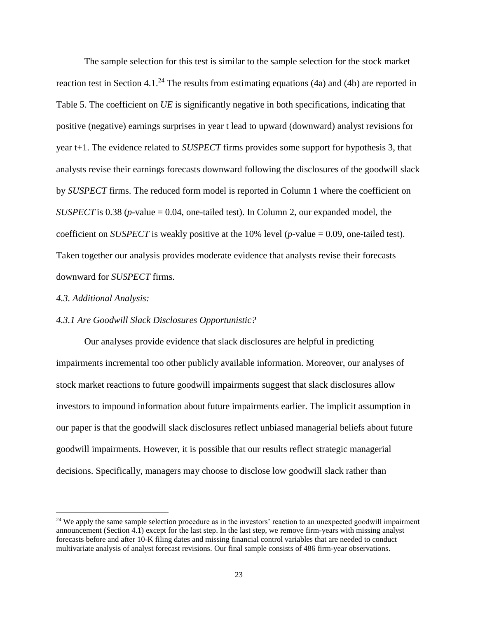The sample selection for this test is similar to the sample selection for the stock market reaction test in Section 4.1.<sup>24</sup> The results from estimating equations (4a) and (4b) are reported in Table 5. The coefficient on *UE* is significantly negative in both specifications, indicating that positive (negative) earnings surprises in year t lead to upward (downward) analyst revisions for year t+1. The evidence related to *SUSPECT* firms provides some support for hypothesis 3, that analysts revise their earnings forecasts downward following the disclosures of the goodwill slack by *SUSPECT* firms. The reduced form model is reported in Column 1 where the coefficient on *SUSPECT* is 0.38 (*p*-value = 0.04, one-tailed test). In Column 2, our expanded model, the coefficient on *SUSPECT* is weakly positive at the 10% level (*p*-value = 0.09, one-tailed test). Taken together our analysis provides moderate evidence that analysts revise their forecasts downward for *SUSPECT* firms.

### *4.3. Additional Analysis:*

 $\overline{a}$ 

### *4.3.1 Are Goodwill Slack Disclosures Opportunistic?*

Our analyses provide evidence that slack disclosures are helpful in predicting impairments incremental too other publicly available information. Moreover, our analyses of stock market reactions to future goodwill impairments suggest that slack disclosures allow investors to impound information about future impairments earlier. The implicit assumption in our paper is that the goodwill slack disclosures reflect unbiased managerial beliefs about future goodwill impairments. However, it is possible that our results reflect strategic managerial decisions. Specifically, managers may choose to disclose low goodwill slack rather than

 $24$  We apply the same sample selection procedure as in the investors' reaction to an unexpected goodwill impairment announcement (Section 4.1) except for the last step. In the last step, we remove firm-years with missing analyst forecasts before and after 10-K filing dates and missing financial control variables that are needed to conduct multivariate analysis of analyst forecast revisions. Our final sample consists of 486 firm-year observations.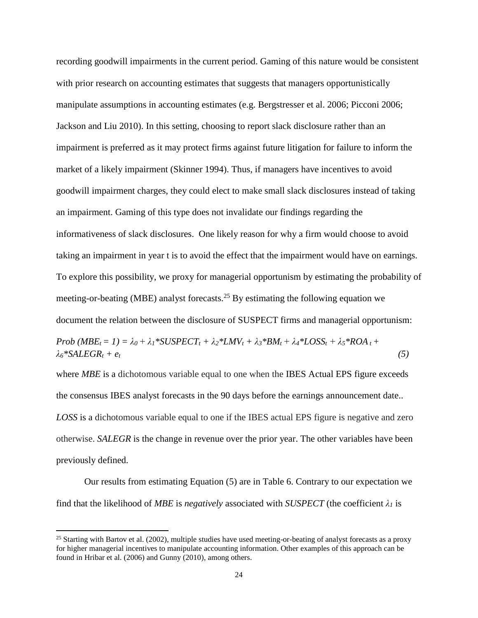recording goodwill impairments in the current period. Gaming of this nature would be consistent with prior research on accounting estimates that suggests that managers opportunistically manipulate assumptions in accounting estimates (e.g. Bergstresser et al. 2006; Picconi 2006; Jackson and Liu 2010). In this setting, choosing to report slack disclosure rather than an impairment is preferred as it may protect firms against future litigation for failure to inform the market of a likely impairment (Skinner 1994). Thus, if managers have incentives to avoid goodwill impairment charges, they could elect to make small slack disclosures instead of taking an impairment. Gaming of this type does not invalidate our findings regarding the informativeness of slack disclosures. One likely reason for why a firm would choose to avoid taking an impairment in year t is to avoid the effect that the impairment would have on earnings. To explore this possibility, we proxy for managerial opportunism by estimating the probability of meeting-or-beating (MBE) analyst forecasts.<sup>25</sup> By estimating the following equation we document the relation between the disclosure of SUSPECT firms and managerial opportunism:

Prob  $(MBE_t = 1) = \lambda_0 + \lambda_1 * SUBPECT_t + \lambda_2 * LMV_t + \lambda_3 * BM_t + \lambda_4 * LOSS_t + \lambda_5 * ROA_t +$ *λ6\*SALEGR<sup>t</sup> + et (5)*

where *MBE* is a dichotomous variable equal to one when the IBES Actual EPS figure exceeds the consensus IBES analyst forecasts in the 90 days before the earnings announcement date.. *LOSS* is a dichotomous variable equal to one if the IBES actual EPS figure is negative and zero otherwise. *SALEGR* is the change in revenue over the prior year. The other variables have been previously defined.

Our results from estimating Equation (5) are in Table 6. Contrary to our expectation we find that the likelihood of *MBE* is *negatively* associated with *SUSPECT* (the coefficient  $\lambda_I$  is

<sup>&</sup>lt;sup>25</sup> Starting with Bartov et al. (2002), multiple studies have used meeting-or-beating of analyst forecasts as a proxy for higher managerial incentives to manipulate accounting information. Other examples of this approach can be found in Hribar et al. (2006) and Gunny (2010), among others.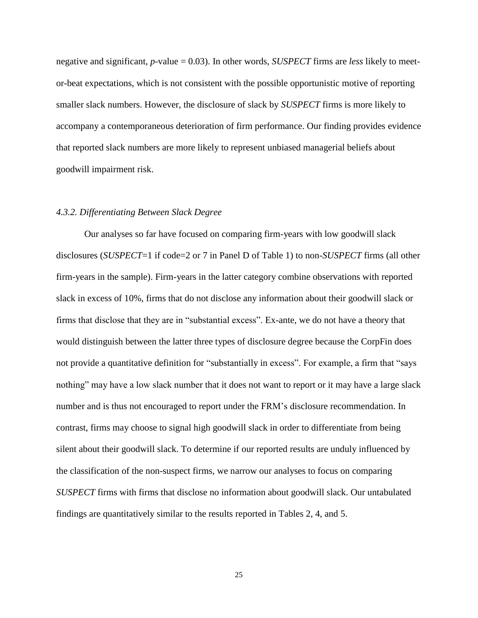negative and significant, *p*-value = 0.03). In other words, *SUSPECT* firms are *less* likely to meetor-beat expectations, which is not consistent with the possible opportunistic motive of reporting smaller slack numbers. However, the disclosure of slack by *SUSPECT* firms is more likely to accompany a contemporaneous deterioration of firm performance. Our finding provides evidence that reported slack numbers are more likely to represent unbiased managerial beliefs about goodwill impairment risk.

#### *4.3.2. Differentiating Between Slack Degree*

Our analyses so far have focused on comparing firm-years with low goodwill slack disclosures (*SUSPECT*=1 if code=2 or 7 in Panel D of Table 1) to non-*SUSPECT* firms (all other firm-years in the sample). Firm-years in the latter category combine observations with reported slack in excess of 10%, firms that do not disclose any information about their goodwill slack or firms that disclose that they are in "substantial excess". Ex-ante, we do not have a theory that would distinguish between the latter three types of disclosure degree because the CorpFin does not provide a quantitative definition for "substantially in excess". For example, a firm that "says nothing" may have a low slack number that it does not want to report or it may have a large slack number and is thus not encouraged to report under the FRM's disclosure recommendation. In contrast, firms may choose to signal high goodwill slack in order to differentiate from being silent about their goodwill slack. To determine if our reported results are unduly influenced by the classification of the non-suspect firms, we narrow our analyses to focus on comparing *SUSPECT* firms with firms that disclose no information about goodwill slack. Our untabulated findings are quantitatively similar to the results reported in Tables 2, 4, and 5.

25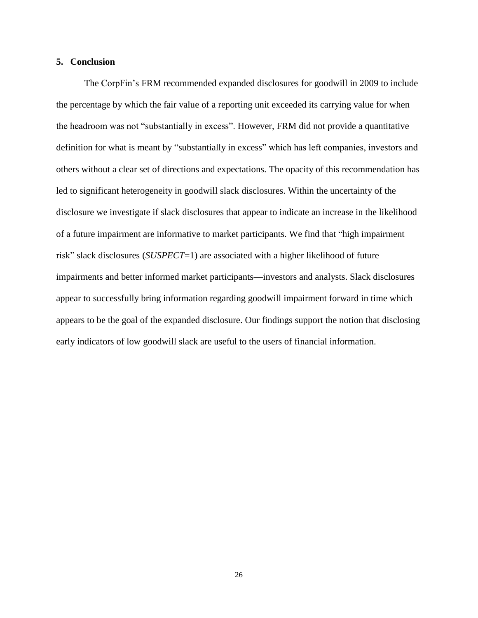### **5. Conclusion**

The CorpFin's FRM recommended expanded disclosures for goodwill in 2009 to include the percentage by which the fair value of a reporting unit exceeded its carrying value for when the headroom was not "substantially in excess". However, FRM did not provide a quantitative definition for what is meant by "substantially in excess" which has left companies, investors and others without a clear set of directions and expectations. The opacity of this recommendation has led to significant heterogeneity in goodwill slack disclosures. Within the uncertainty of the disclosure we investigate if slack disclosures that appear to indicate an increase in the likelihood of a future impairment are informative to market participants. We find that "high impairment risk" slack disclosures (*SUSPECT*=1) are associated with a higher likelihood of future impairments and better informed market participants—investors and analysts. Slack disclosures appear to successfully bring information regarding goodwill impairment forward in time which appears to be the goal of the expanded disclosure. Our findings support the notion that disclosing early indicators of low goodwill slack are useful to the users of financial information.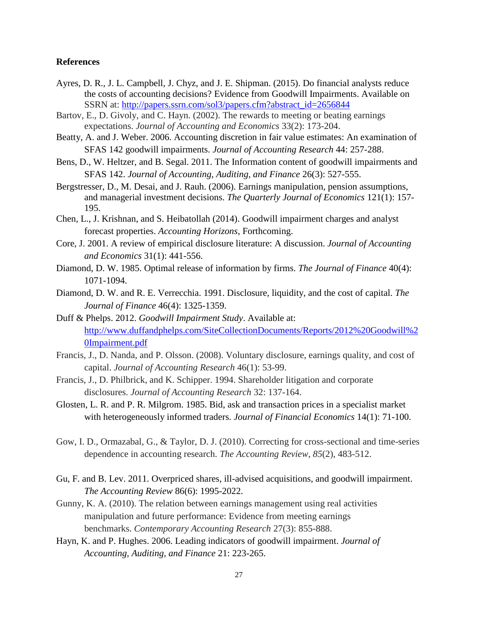### **References**

- Ayres, D. R., J. L. Campbell, J. Chyz, and J. E. Shipman. (2015). Do financial analysts reduce the costs of accounting decisions? Evidence from Goodwill Impairments. Available on SSRN at: [http://papers.ssrn.com/sol3/papers.cfm?abstract\\_id=2656844](http://papers.ssrn.com/sol3/papers.cfm?abstract_id=2656844)
- Bartov, E., D. Givoly, and C. Hayn. (2002). The rewards to meeting or beating earnings expectations. *Journal of Accounting and Economics* 33(2): 173-204.
- Beatty, A. and J. Weber. 2006. Accounting discretion in fair value estimates: An examination of SFAS 142 goodwill impairments. *Journal of Accounting Research* 44: 257-288.
- Bens, D., W. Heltzer, and B. Segal. 2011. The Information content of goodwill impairments and SFAS 142. *Journal of Accounting, Auditing, and Finance* 26(3): 527-555.
- Bergstresser, D., M. Desai, and J. Rauh. (2006). Earnings manipulation, pension assumptions, and managerial investment decisions. *The Quarterly Journal of Economics* 121(1): 157- 195.
- Chen, L., J. Krishnan, and S. Heibatollah (2014). Goodwill impairment charges and analyst forecast properties. *Accounting Horizons*, Forthcoming.
- Core, J. 2001. A review of empirical disclosure literature: A discussion. *Journal of Accounting and Economics* 31(1): 441-556.
- Diamond, D. W. 1985. Optimal release of information by firms. *The Journal of Finance* 40(4): 1071-1094.
- Diamond, D. W. and R. E. Verrecchia. 1991. Disclosure, liquidity, and the cost of capital. *The Journal of Finance* 46(4): 1325-1359.
- Duff & Phelps. 2012. *Goodwill Impairment Study*. Available at: [http://www.duffandphelps.com/SiteCollectionDocuments/Reports/2012%20Goodwill%2](http://www.duffandphelps.com/SiteCollectionDocuments/Reports/2012%20Goodwill%20Impairment.pdf) [0Impairment.pdf](http://www.duffandphelps.com/SiteCollectionDocuments/Reports/2012%20Goodwill%20Impairment.pdf)
- Francis, J., D. Nanda, and P. Olsson. (2008). Voluntary disclosure, earnings quality, and cost of capital. *Journal of Accounting Research* 46(1): 53-99.
- Francis, J., D. Philbrick, and K. Schipper. 1994. Shareholder litigation and corporate disclosures. *Journal of Accounting Research* 32: 137-164.
- Glosten, L. R. and P. R. Milgrom. 1985. Bid, ask and transaction prices in a specialist market with heterogeneously informed traders. *Journal of Financial Economics* 14(1): 71-100.
- Gow, I. D., Ormazabal, G., & Taylor, D. J. (2010). Correcting for cross-sectional and time-series dependence in accounting research. *The Accounting Review*, *85*(2), 483-512.
- Gu, F. and B. Lev. 2011. Overpriced shares, ill-advised acquisitions, and goodwill impairment. *The Accounting Review* 86(6): 1995-2022.
- Gunny, K. A. (2010). The relation between earnings management using real activities manipulation and future performance: Evidence from meeting earnings benchmarks. *Contemporary Accounting Research* 27(3): 855-888.
- Hayn, K. and P. Hughes. 2006. Leading indicators of goodwill impairment. *Journal of Accounting, Auditing, and Finance* 21: 223-265.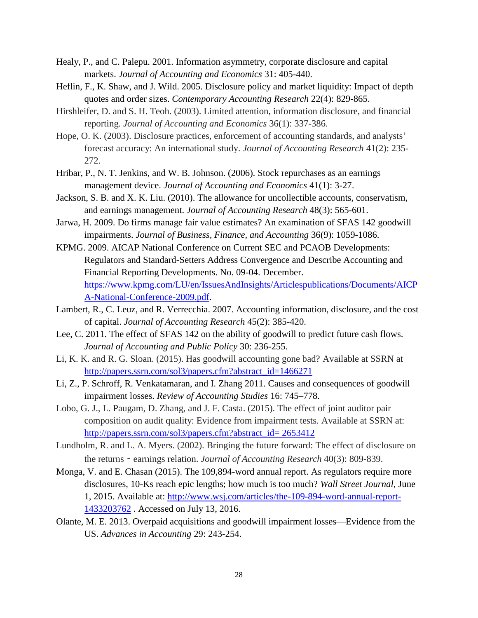- Healy, P., and C. Palepu. 2001. Information asymmetry, corporate disclosure and capital markets. *Journal of Accounting and Economics* 31: 405-440.
- Heflin, F., K. Shaw, and J. Wild. 2005. Disclosure policy and market liquidity: Impact of depth quotes and order sizes. *Contemporary Accounting Research* 22(4): 829-865.
- Hirshleifer, D. and S. H. Teoh. (2003). Limited attention, information disclosure, and financial reporting. *Journal of Accounting and Economics* 36(1): 337-386.
- Hope, O. K. (2003). Disclosure practices, enforcement of accounting standards, and analysts' forecast accuracy: An international study. *Journal of Accounting Research* 41(2): 235- 272.
- Hribar, P., N. T. Jenkins, and W. B. Johnson. (2006). Stock repurchases as an earnings management device. *Journal of Accounting and Economics* 41(1): 3-27.
- Jackson, S. B. and X. K. Liu. (2010). The allowance for uncollectible accounts, conservatism, and earnings management. *Journal of Accounting Research* 48(3): 565-601.
- Jarwa, H. 2009. Do firms manage fair value estimates? An examination of SFAS 142 goodwill impairments. *Journal of Business, Finance, and Accounting* 36(9): 1059-1086.
- KPMG. 2009. AICAP National Conference on Current SEC and PCAOB Developments: Regulators and Standard-Setters Address Convergence and Describe Accounting and Financial Reporting Developments. No. 09-04. December. [https://www.kpmg.com/LU/en/IssuesAndInsights/Articlespublications/Documents/AICP](https://www.kpmg.com/LU/en/IssuesAndInsights/Articlespublications/Documents/AICPA-National-Conference-2009.pdf) [A-National-Conference-2009.pdf.](https://www.kpmg.com/LU/en/IssuesAndInsights/Articlespublications/Documents/AICPA-National-Conference-2009.pdf)
- Lambert, R., C. Leuz, and R. Verrecchia. 2007. Accounting information, disclosure, and the cost of capital. *Journal of Accounting Research* 45(2): 385-420.
- Lee, C. 2011. The effect of SFAS 142 on the ability of goodwill to predict future cash flows. *Journal of Accounting and Public Policy* 30: 236-255.
- Li, K. K. and R. G. Sloan. (2015). Has goodwill accounting gone bad? Available at SSRN at [http://papers.ssrn.com/sol3/papers.cfm?abstract\\_id=1466271](http://papers.ssrn.com/sol3/papers.cfm?abstract_id=1466271)
- Li, Z., P. Schroff, R. Venkatamaran, and I. Zhang 2011. Causes and consequences of goodwill impairment losses. *Review of Accounting Studies* 16: 745–778.
- Lobo, G. J., L. Paugam, D. Zhang, and J. F. Casta. (2015). The effect of joint auditor pair composition on audit quality: Evidence from impairment tests. Available at SSRN at: [http://papers.ssrn.com/sol3/papers.cfm?abstract\\_id=](http://papers.ssrn.com/sol3/papers.cfm?abstract_id=%202653412) 2653412
- Lundholm, R. and L. A. Myers. (2002). Bringing the future forward: The effect of disclosure on the returns‐earnings relation. *Journal of Accounting Research* 40(3): 809-839.
- Monga, V. and E. Chasan (2015). The 109,894-word annual report. As regulators require more disclosures, 10-Ks reach epic lengths; how much is too much? *Wall Street Journal*, June 1, 2015. Available at: [http://www.wsj.com/articles/the-109-894-word-annual-report-](http://www.wsj.com/articles/the-109-894-word-annual-report-1433203762)[1433203762](http://www.wsj.com/articles/the-109-894-word-annual-report-1433203762) . Accessed on July 13, 2016.
- Olante, M. E. 2013. Overpaid acquisitions and goodwill impairment losses—Evidence from the US. *Advances in Accounting* 29: 243-254.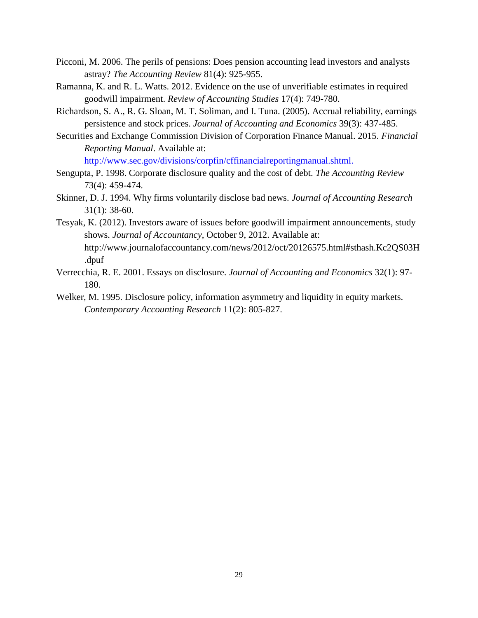- Picconi, M. 2006. The perils of pensions: Does pension accounting lead investors and analysts astray? *The Accounting Review* 81(4): 925-955.
- Ramanna, K. and R. L. Watts. 2012. Evidence on the use of unverifiable estimates in required goodwill impairment. *Review of Accounting Studies* 17(4): 749-780.
- Richardson, S. A., R. G. Sloan, M. T. Soliman, and I. Tuna. (2005). Accrual reliability, earnings persistence and stock prices. *Journal of Accounting and Economics* 39(3): 437-485.
- Securities and Exchange Commission Division of Corporation Finance Manual. 2015. *Financial Reporting Manual*. Available at:

[http://www.sec.gov/divisions/corpfin/cffinancialreportingmanual.shtml.](http://www.sec.gov/divisions/corpfin/cffinancialreportingmanual.shtml)

- Sengupta, P. 1998. Corporate disclosure quality and the cost of debt. *The Accounting Review* 73(4): 459-474.
- Skinner, D. J. 1994. Why firms voluntarily disclose bad news. *Journal of Accounting Research* 31(1): 38-60.
- Tesyak, K. (2012). Investors aware of issues before goodwill impairment announcements, study shows. *Journal of Accountancy*, October 9, 2012. Available at: http://www.journalofaccountancy.com/news/2012/oct/20126575.html#sthash.Kc2QS03H .dpuf
- Verrecchia, R. E. 2001. Essays on disclosure. *Journal of Accounting and Economics* 32(1): 97- 180.
- Welker, M. 1995. Disclosure policy, information asymmetry and liquidity in equity markets. *Contemporary Accounting Research* 11(2): 805-827.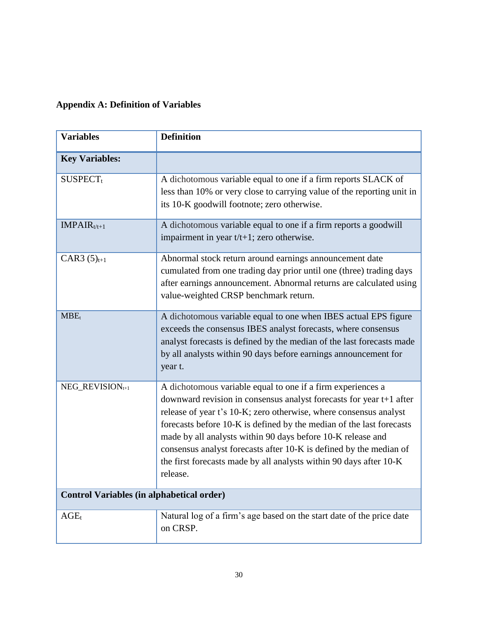## **Appendix A: Definition of Variables**

| <b>Variables</b>                                 | <b>Definition</b>                                                                                                                                                                                                                                                                                                                                                                                                                                                                                      |
|--------------------------------------------------|--------------------------------------------------------------------------------------------------------------------------------------------------------------------------------------------------------------------------------------------------------------------------------------------------------------------------------------------------------------------------------------------------------------------------------------------------------------------------------------------------------|
| <b>Key Variables:</b>                            |                                                                                                                                                                                                                                                                                                                                                                                                                                                                                                        |
| <b>SUSPECT</b> <sub>t</sub>                      | A dichotomous variable equal to one if a firm reports SLACK of<br>less than 10% or very close to carrying value of the reporting unit in<br>its 10-K goodwill footnote; zero otherwise.                                                                                                                                                                                                                                                                                                                |
| $IMPAIRt/t+1$                                    | A dichotomous variable equal to one if a firm reports a goodwill<br>impairment in year $t/t+1$ ; zero otherwise.                                                                                                                                                                                                                                                                                                                                                                                       |
| CAR3 $(5)_{t+1}$                                 | Abnormal stock return around earnings announcement date<br>cumulated from one trading day prior until one (three) trading days<br>after earnings announcement. Abnormal returns are calculated using<br>value-weighted CRSP benchmark return.                                                                                                                                                                                                                                                          |
| MBE <sub>t</sub>                                 | A dichotomous variable equal to one when IBES actual EPS figure<br>exceeds the consensus IBES analyst forecasts, where consensus<br>analyst forecasts is defined by the median of the last forecasts made<br>by all analysts within 90 days before earnings announcement for<br>year t.                                                                                                                                                                                                                |
| NEG_REVISION <sub>t+1</sub>                      | A dichotomous variable equal to one if a firm experiences a<br>downward revision in consensus analyst forecasts for year t+1 after<br>release of year t's 10-K; zero otherwise, where consensus analyst<br>forecasts before 10-K is defined by the median of the last forecasts<br>made by all analysts within 90 days before 10-K release and<br>consensus analyst forecasts after 10-K is defined by the median of<br>the first forecasts made by all analysts within 90 days after 10-K<br>release. |
| <b>Control Variables (in alphabetical order)</b> |                                                                                                                                                                                                                                                                                                                                                                                                                                                                                                        |
| $AGE_t$                                          | Natural log of a firm's age based on the start date of the price date<br>on CRSP.                                                                                                                                                                                                                                                                                                                                                                                                                      |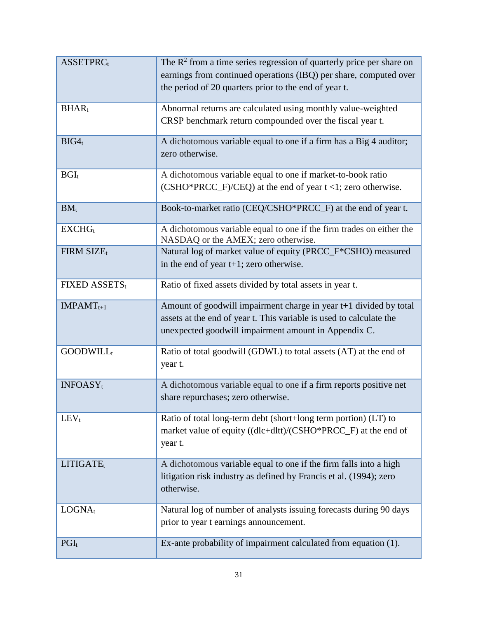| <b>ASSETPRC</b> t           | The $\mathbb{R}^2$ from a time series regression of quarterly price per share on<br>earnings from continued operations (IBQ) per share, computed over<br>the period of 20 quarters prior to the end of year t. |
|-----------------------------|----------------------------------------------------------------------------------------------------------------------------------------------------------------------------------------------------------------|
| BHAR <sub>t</sub>           | Abnormal returns are calculated using monthly value-weighted<br>CRSP benchmark return compounded over the fiscal year t.                                                                                       |
| BIG4 <sub>t</sub>           | A dichotomous variable equal to one if a firm has a Big 4 auditor;<br>zero otherwise.                                                                                                                          |
| $BGI_t$                     | A dichotomous variable equal to one if market-to-book ratio<br>$(CSHO*PRCC_F)/CEQ$ ) at the end of year $t < 1$ ; zero otherwise.                                                                              |
| $BM_t$                      | Book-to-market ratio (CEQ/CSHO*PRCC_F) at the end of year t.                                                                                                                                                   |
| EXCHG <sub>t</sub>          | A dichotomous variable equal to one if the firm trades on either the<br>NASDAQ or the AMEX; zero otherwise.                                                                                                    |
| FIRM SIZEt                  | Natural log of market value of equity (PRCC_F*CSHO) measured<br>in the end of year $t+1$ ; zero otherwise.                                                                                                     |
| FIXED ASSETSt               | Ratio of fixed assets divided by total assets in year t.                                                                                                                                                       |
| $IMPAMT_{t+1}$              | Amount of goodwill impairment charge in year t+1 divided by total<br>assets at the end of year t. This variable is used to calculate the<br>unexpected goodwill impairment amount in Appendix C.               |
| <b>GOODWILL</b>             | Ratio of total goodwill (GDWL) to total assets (AT) at the end of<br>year t.                                                                                                                                   |
| <b>INFOASY</b> <sub>t</sub> | A dichotomous variable equal to one if a firm reports positive net<br>share repurchases; zero otherwise.                                                                                                       |
| $LEV_t$                     | Ratio of total long-term debt (short+long term portion) (LT) to<br>market value of equity ((dlc+dltt)/(CSHO*PRCC_F) at the end of<br>year t.                                                                   |
| LITIGATE <sub>t</sub>       | A dichotomous variable equal to one if the firm falls into a high<br>litigation risk industry as defined by Francis et al. (1994); zero<br>otherwise.                                                          |
| LOGNAt                      | Natural log of number of analysts issuing forecasts during 90 days<br>prior to year t earnings announcement.                                                                                                   |
| $PGI_t$                     | Ex-ante probability of impairment calculated from equation (1).                                                                                                                                                |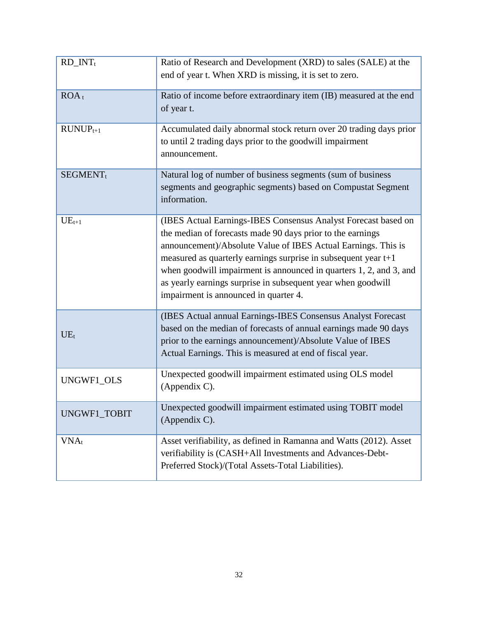| $RD_$ INTt           | Ratio of Research and Development (XRD) to sales (SALE) at the<br>end of year t. When XRD is missing, it is set to zero.                                                                                                                                                                                                                                                                                                                         |
|----------------------|--------------------------------------------------------------------------------------------------------------------------------------------------------------------------------------------------------------------------------------------------------------------------------------------------------------------------------------------------------------------------------------------------------------------------------------------------|
| $ROA_t$              | Ratio of income before extraordinary item (IB) measured at the end<br>of year t.                                                                                                                                                                                                                                                                                                                                                                 |
| $RUNUP_{t+1}$        | Accumulated daily abnormal stock return over 20 trading days prior<br>to until 2 trading days prior to the goodwill impairment<br>announcement.                                                                                                                                                                                                                                                                                                  |
| SEGMENT <sub>t</sub> | Natural log of number of business segments (sum of business<br>segments and geographic segments) based on Compustat Segment<br>information.                                                                                                                                                                                                                                                                                                      |
| $UE_{t+1}$           | (IBES Actual Earnings-IBES Consensus Analyst Forecast based on<br>the median of forecasts made 90 days prior to the earnings<br>announcement)/Absolute Value of IBES Actual Earnings. This is<br>measured as quarterly earnings surprise in subsequent year $t+1$<br>when goodwill impairment is announced in quarters 1, 2, and 3, and<br>as yearly earnings surprise in subsequent year when goodwill<br>impairment is announced in quarter 4. |
| $UE_{t}$             | (IBES Actual annual Earnings-IBES Consensus Analyst Forecast<br>based on the median of forecasts of annual earnings made 90 days<br>prior to the earnings announcement)/Absolute Value of IBES<br>Actual Earnings. This is measured at end of fiscal year.                                                                                                                                                                                       |
| UNGWF1_OLS           | Unexpected goodwill impairment estimated using OLS model<br>(Appendix C).                                                                                                                                                                                                                                                                                                                                                                        |
| UNGWF1 TOBIT         | Unexpected goodwill impairment estimated using TOBIT model<br>(Appendix C).                                                                                                                                                                                                                                                                                                                                                                      |
| $VNA_t$              | Asset verifiability, as defined in Ramanna and Watts (2012). Asset<br>verifiability is (CASH+All Investments and Advances-Debt-<br>Preferred Stock)/(Total Assets-Total Liabilities).                                                                                                                                                                                                                                                            |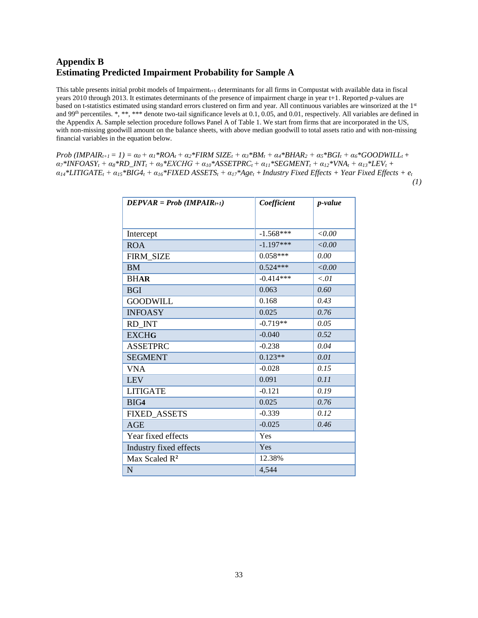## **Appendix B Estimating Predicted Impairment Probability for Sample A**

This table presents initial probit models of Impairment $_{t+1}$  determinants for all firms in Compustat with available data in fiscal years 2010 through 2013. It estimates determinants of the presence of impairment charge in year t+1. Reported *p*-values are based on t-statistics estimated using standard errors clustered on firm and year. All continuous variables are winsorized at the 1st and 99th percentiles. \*, \*\*, \*\*\* denote two-tail significance levels at 0.1, 0.05, and 0.01, respectively. All variables are defined in the Appendix A. Sample selection procedure follows Panel A of Table 1. We start from firms that are incorporated in the US, with non-missing goodwill amount on the balance sheets, with above median goodwill to total assets ratio and with non-missing financial variables in the equation below.

Prob (IMPAIR<sub>t+1</sub> = 1) =  $\alpha_0$  +  $\alpha_1$ \*ROA<sub>t</sub> +  $\alpha_2$ \*FIRM SIZE<sub>t</sub> +  $\alpha_3$ \*BM<sub>t</sub> +  $\alpha_4$ \*BHAR<sub>2</sub> +  $\alpha_5$ \*BGI<sub>t</sub> +  $\alpha_6$ \*GOODWILL<sub>t</sub> +  $a_7*INFOASY_t + a_8*RD_INT_t + a_9*EXCHG + a_{10}*ASSETPRC_t + a_{11}*SEGMENT_t + a_{12}*VNA_t + a_{13}*LEV_t +$  $a_{14}$ \*LITIGATE<sub>t</sub> +  $a_{15}$ \*BIG4<sub>t</sub> +  $a_{16}$ \*FIXED ASSETS<sub>t</sub> +  $a_{17}$ \*Age<sub>t</sub> + Industry Fixed Effects + Year Fixed Effects + e<sub>t</sub>  *(1)*

| $DEPVAR = Prob (IMPAIR_{t+1})$ | Coefficient | <i>p</i> -value |
|--------------------------------|-------------|-----------------|
|                                |             |                 |
|                                |             |                 |
| Intercept                      | $-1.568***$ | < 0.00          |
| <b>ROA</b>                     | $-1.197***$ | <0.00           |
| FIRM_SIZE                      | $0.058***$  | 0.00            |
| <b>BM</b>                      | $0.524***$  | < 0.00          |
| <b>BHAR</b>                    | $-0.414***$ | < 01            |
| <b>BGI</b>                     | 0.063       | 0.60            |
| <b>GOODWILL</b>                | 0.168       | 0.43            |
| <b>INFOASY</b>                 | 0.025       | 0.76            |
| RD INT                         | $-0.719**$  | 0.05            |
| <b>EXCHG</b>                   | $-0.040$    | 0.52            |
| <b>ASSETPRC</b>                | $-0.238$    | 0.04            |
| <b>SEGMENT</b>                 | $0.123**$   | 0.01            |
| <b>VNA</b>                     | $-0.028$    | 0.15            |
| <b>LEV</b>                     | 0.091       | 0.11            |
| <b>LITIGATE</b>                | $-0.121$    | 0.19            |
| BIG4                           | 0.025       | 0.76            |
| <b>FIXED ASSETS</b>            | $-0.339$    | 0.12            |
| AGE                            | $-0.025$    | 0.46            |
| Year fixed effects             | Yes         |                 |
| Yes<br>Industry fixed effects  |             |                 |
| Max Scaled R <sup>2</sup>      | 12.38%      |                 |
| N                              | 4,544       |                 |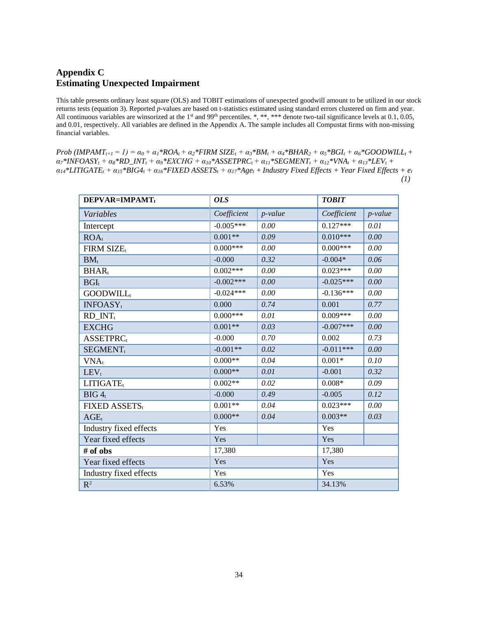## **Appendix C Estimating Unexpected Impairment**

This table presents ordinary least square (OLS) and TOBIT estimations of unexpected goodwill amount to be utilized in our stock returns tests (equation 3). Reported *p*-values are based on t-statistics estimated using standard errors clustered on firm and year. All continuous variables are winsorized at the 1<sup>st</sup> and 99<sup>th</sup> percentiles. \*, \*\*, \*\*\* denote two-tail significance levels at 0.1, 0.05, and 0.01, respectively. All variables are defined in the Appendix A. The sample includes all Compustat firms with non-missing financial variables.

Prob (IMPAMT<sub>t+1</sub> = 1) =  $\alpha_0 + \alpha_1 * ROA_t + \alpha_2 * FIRM$  SIZE<sub>t</sub> +  $\alpha_3 * BM_t + \alpha_4 * BHAR_2 + \alpha_5 * BGI_t + \alpha_6 * GOODWILL_t +$  $\alpha_7$ \*INFOASY<sub>t</sub> +  $\alpha_8$ \*RD\_INT<sub>t</sub> +  $\alpha_9$ \*EXCHG +  $\alpha_{10}$ \*ASSETPRC<sub>t</sub> +  $\alpha_{11}$ \*SEGMENT<sub>t</sub> +  $\alpha_{12}$ \*VNA<sub>t</sub> +  $\alpha_{13}$ \*LEV<sub>t</sub> +  $a_{14}$ \*LITIGATE<sub>t</sub> +  $a_{15}$ \*BIG4<sub>t</sub> +  $a_{16}$ \*FIXED ASSETS<sub>t</sub> +  $a_{17}$ \*Age<sub>t</sub> + Industry Fixed Effects + Year Fixed Effects + e<sub>t</sub>  *(1)*

| DEPVAR=IMPAMTt              | <b>OLS</b>       |            | <b>TOBIT</b> |            |
|-----------------------------|------------------|------------|--------------|------------|
| Variables                   | Coefficient      | $p$ -value | Coefficient  | $p$ -value |
| Intercept                   | $-0.005***$      | 0.00       | $0.127***$   | 0.01       |
| ROA <sub>t</sub>            | $0.001**$        | 0.09       | $0.010***$   | 0.00       |
| FIRM SIZE                   | $0.000***$       | 0.00       | $0.000***$   | 0.00       |
| $BM_{t}$                    | $-0.000$         | 0.32       | $-0.004*$    | 0.06       |
| BHAR <sub>t</sub>           | $0.002***$       | 0.00       | $0.023***$   | 0.00       |
| $BGI_t$                     | $-0.002***$      | 0.00       | $-0.025***$  | 0.00       |
| <b>GOODWILL</b>             | $-0.024***$      | 0.00       | $-0.136***$  | 0.00       |
| <b>INFOASY</b> <sub>t</sub> | 0.000            | 0.74       | 0.001        | 0.77       |
| $RD$ _ $INT_t$              | $0.000***$       | 0.01       | $0.009***$   | 0.00       |
| <b>EXCHG</b>                | $0.001**$        | 0.03       | $-0.007***$  | 0.00       |
| <b>ASSETPRC</b>             | $-0.000$         | 0.70       | 0.002        | 0.73       |
| <b>SEGMENT</b> <sub>t</sub> | $-0.001**$       | 0.02       | $-0.011***$  | 0.00       |
| $VNA_t$                     | $0.000**$        | 0.04       | $0.001*$     | 0.10       |
| $LEV_t$                     | $0.000**$        | 0.01       | $-0.001$     | 0.32       |
| LITIGATE <sub>t</sub>       | $0.002**$        | 0.02       | $0.008*$     | 0.09       |
| BIG <sub>4t</sub>           | $-0.000$         | 0.49       | $-0.005$     | 0.12       |
| FIXED ASSETS,               | $0.001**$        | 0.04       | $0.023***$   | 0.00       |
| $AGE_t$                     | $0.000**$        | 0.04       | $0.003**$    | 0.03       |
| Industry fixed effects      | Yes              |            | Yes          |            |
| Year fixed effects          | Yes              |            | Yes          |            |
| # of obs                    | 17,380<br>17,380 |            |              |            |
| Year fixed effects          | Yes              |            | Yes          |            |
| Industry fixed effects      | Yes              |            | Yes          |            |
| $\mathbb{R}^2$              | 6.53%            |            | 34.13%       |            |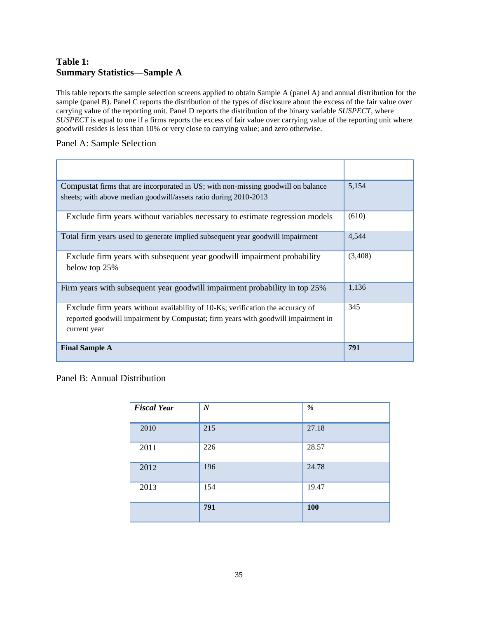## **Table 1: Summary Statistics—Sample A**

This table reports the sample selection screens applied to obtain Sample A (panel A) and annual distribution for the sample (panel B). Panel C reports the distribution of the types of disclosure about the excess of the fair value over carrying value of the reporting unit. Panel D reports the distribution of the binary variable *SUSPECT*, where *SUSPECT* is equal to one if a firms reports the excess of fair value over carrying value of the reporting unit where goodwill resides is less than 10% or very close to carrying value; and zero otherwise.

### Panel A: Sample Selection

| Compustat firms that are incorporated in US; with non-missing goodwill on balance<br>sheets; with above median goodwill/assets ratio during 2010-2013                               | 5,154   |
|-------------------------------------------------------------------------------------------------------------------------------------------------------------------------------------|---------|
| Exclude firm years without variables necessary to estimate regression models                                                                                                        | (610)   |
| Total firm years used to generate implied subsequent year goodwill impairment                                                                                                       | 4,544   |
| Exclude firm years with subsequent year goodwill impairment probability<br>below top 25%                                                                                            | (3,408) |
| Firm years with subsequent year goodwill impairment probability in top 25%                                                                                                          | 1,136   |
| Exclude firm years without availability of 10-Ks; verification the accuracy of<br>reported goodwill impairment by Compustat; firm years with goodwill impairment in<br>current year | 345     |
| <b>Final Sample A</b>                                                                                                                                                               | 791     |

## Panel B: Annual Distribution

| <b>Fiscal Year</b> | $\boldsymbol{N}$ | $\%$  |
|--------------------|------------------|-------|
| 2010               | 215              | 27.18 |
| 2011               | 226              | 28.57 |
| 2012               | 196              | 24.78 |
| 2013               | 154              | 19.47 |
|                    | 791              | 100   |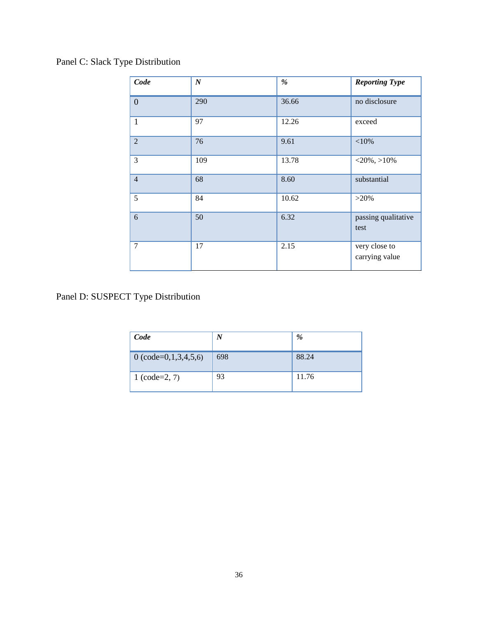# Panel C: Slack Type Distribution

| Code           | $\boldsymbol{N}$ | %     | <b>Reporting Type</b>           |
|----------------|------------------|-------|---------------------------------|
| $\overline{0}$ | 290              | 36.66 | no disclosure                   |
| $\mathbf{1}$   | 97               | 12.26 | exceed                          |
| $\overline{2}$ | 76               | 9.61  | ${<}10%$                        |
| $\overline{3}$ | 109              | 13.78 | $<$ 20%, >10%                   |
| $\overline{4}$ | 68               | 8.60  | substantial                     |
| 5              | 84               | 10.62 | $>20\%$                         |
| 6              | 50               | 6.32  | passing qualitative<br>test     |
| $\tau$         | 17               | 2.15  | very close to<br>carrying value |

Panel D: SUSPECT Type Distribution

| Code                     | N   | %     |
|--------------------------|-----|-------|
| 0 (code= $0,1,3,4,5,6$ ) | 698 | 88.24 |
| $1 (code=2, 7)$          | 93  | 11.76 |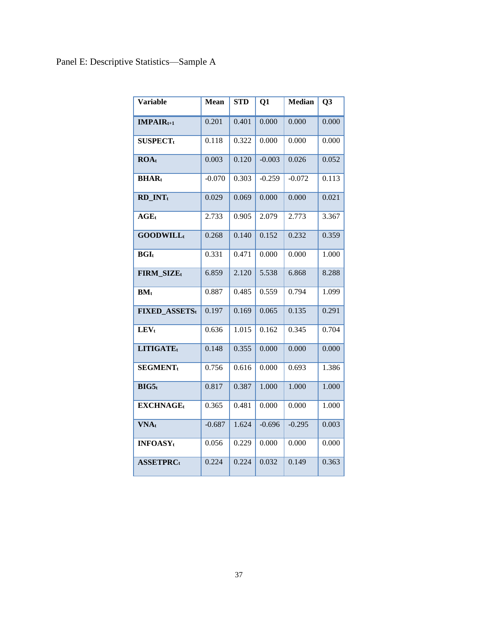# Panel E: Descriptive Statistics—Sample A

| <b>Variable</b>             | <b>Mean</b> | <b>STD</b> | Q1       | <b>Median</b> | Q <sub>3</sub> |
|-----------------------------|-------------|------------|----------|---------------|----------------|
| $IMPAIRt+1$                 | 0.201       | 0.401      | 0.000    | 0.000         | 0.000          |
| <b>SUSPECT</b> <sub>t</sub> | 0.118       | 0.322      | 0.000    | 0.000         | 0.000          |
| ROA <sub>t</sub>            | 0.003       | 0.120      | $-0.003$ | 0.026         | 0.052          |
| BHAR <sub>t</sub>           | $-0.070$    | 0.303      | $-0.259$ | $-0.072$      | 0.113          |
| RD_INTt                     | 0.029       | 0.069      | 0.000    | 0.000         | 0.021          |
| $AGE_t$                     | 2.733       | 0.905      | 2.079    | 2.773         | 3.367          |
| <b>GOODWILL</b> t           | 0.268       | 0.140      | 0.152    | 0.232         | 0.359          |
| BGL                         | 0.331       | 0.471      | 0.000    | 0.000         | 1.000          |
| FIRM_SIZEt                  | 6.859       | 2.120      | 5.538    | 6.868         | 8.288          |
| $BM_t$                      | 0.887       | 0.485      | 0.559    | 0.794         | 1.099          |
| <b>FIXED ASSETS</b> t       | 0.197       | 0.169      | 0.065    | 0.135         | 0.291          |
| $LEV_t$                     | 0.636       | 1.015      | 0.162    | 0.345         | 0.704          |
| LITIGATEt                   | 0.148       | 0.355      | 0.000    | 0.000         | 0.000          |
| <b>SEGMENT</b> <sub>t</sub> | 0.756       | 0.616      | 0.000    | 0.693         | 1.386          |
| BIG5t                       | 0.817       | 0.387      | 1.000    | 1.000         | 1.000          |
| <b>EXCHNAGEt</b>            | 0.365       | 0.481      | 0.000    | 0.000         | 1.000          |
| <b>VNAt</b>                 | $-0.687$    | 1.624      | $-0.696$ | $-0.295$      | 0.003          |
| <b>INFOASY</b> <sub>t</sub> | 0.056       | 0.229      | 0.000    | 0.000         | 0.000          |
| <b>ASSETPRCt</b>            | 0.224       | 0.224      | 0.032    | 0.149         | 0.363          |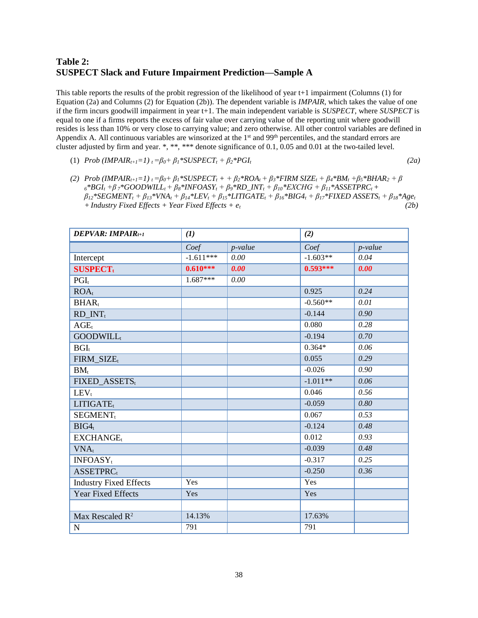## **Table 2: SUSPECT Slack and Future Impairment Prediction—Sample A**

This table reports the results of the probit regression of the likelihood of year t+1 impairment (Columns (1) for Equation (2a) and Columns (2) for Equation (2b)). The dependent variable is *IMPAIR*, which takes the value of one if the firm incurs goodwill impairment in year t+1. The main independent variable is *SUSPECT*, where *SUSPECT* is equal to one if a firms reports the excess of fair value over carrying value of the reporting unit where goodwill resides is less than 10% or very close to carrying value; and zero otherwise. All other control variables are defined in Appendix A. All continuous variables are winsorized at the  $1<sup>st</sup>$  and 99<sup>th</sup> percentiles, and the standard errors are cluster adjusted by firm and year. \*, \*\*, \*\*\* denote significance of 0.1, 0.05 and 0.01 at the two-tailed level.

(1) *Prob*  $(IMPAIR_{t+1}=1)$   $_t = \beta_0 + \beta_1 * SUBPECT_t + \beta_2 * PGI_t$ 

$$
(2a)
$$

(2) Prob (IMPAIR<sub>t+1</sub>=1)<sub>t</sub> =  $\beta_0$ +  $\beta_1$ \*SUSPECT<sub>t</sub> + +  $\beta_2$ \*ROA<sub>t</sub> +  $\beta_3$ \*FIRM SIZE<sub>t</sub> +  $\beta_4$ \*BM<sub>t</sub> +  $\beta_5$ \*BHAR<sub>2</sub> +  $\beta$  $_6*BGI_t + \beta_7*GOODWILL_t + \beta_8*INFOASY_t + \beta_9*RD_INT_t + \beta_{10}*EXCHG + \beta_{11}*ASSETPRC_t +$  $\beta_{12}$ \*SEGMENT<sub>t</sub> +  $\beta_{13}$ \*VNA<sub>t</sub> +  $\beta_{14}$ \*LEV<sub>t</sub> +  $\beta_{15}$ \*LITIGATE<sub>t</sub> +  $\beta_{16}$ \*BIG4<sub>t</sub> +  $\beta_{17}$ \*FIXED ASSETS<sub>t</sub> +  $\beta_{18}$ \*Age<sub>t</sub> *+Industry Fixed Effects + Year Fixed Effects + et (2b)*

| <b>DEPVAR: IMPAIR</b> $_{t+1}$ | (I)         |            | (2)        |            |
|--------------------------------|-------------|------------|------------|------------|
|                                | Coef        | $p$ -value | Coef       | $p$ -value |
| Intercept                      | $-1.611***$ | 0.00       | $-1.603**$ | 0.04       |
| <b>SUSPECT</b> <sub>t</sub>    | $0.610***$  | 0.00       | $0.593***$ | 0.00       |
| $PGI_t$                        | $1.687***$  | 0.00       |            |            |
| $ROA_t$                        |             |            | 0.925      | 0.24       |
| BHAR <sub>t</sub>              |             |            | $-0.560**$ | 0.01       |
| $RD_INT_t$                     |             |            | $-0.144$   | 0.90       |
| $AGE_t$                        |             |            | 0.080      | 0.28       |
| <b>GOODWILL</b>                |             |            | $-0.194$   | 0.70       |
| $BGI_t$                        |             |            | $0.364*$   | 0.06       |
| FIRM SIZEt                     |             |            | 0.055      | 0.29       |
| $BM_t$                         |             |            | $-0.026$   | 0.90       |
| FIXED_ASSETS,                  |             |            | $-1.011**$ | 0.06       |
| $LEV_t$                        |             |            | 0.046      | 0.56       |
| LITIGATE <sub>t</sub>          |             |            | $-0.059$   | 0.80       |
| <b>SEGMENT</b> <sub>t</sub>    |             |            | 0.067      | 0.53       |
| BIG4 <sub>t</sub>              |             |            | $-0.124$   | 0.48       |
| EXCHANGE                       |             |            | 0.012      | 0.93       |
| $VNA_t$                        |             |            | $-0.039$   | 0.48       |
| INFOASY <sub>t</sub>           |             |            | $-0.317$   | 0.25       |
| <b>ASSETPRC</b>                |             |            | $-0.250$   | 0.36       |
| <b>Industry Fixed Effects</b>  | Yes         |            | Yes        |            |
| <b>Year Fixed Effects</b>      | Yes         |            | Yes        |            |
|                                |             |            |            |            |
| Max Rescaled R <sup>2</sup>    | 14.13%      |            | 17.63%     |            |
| $\mathbf N$                    | 791         |            | 791        |            |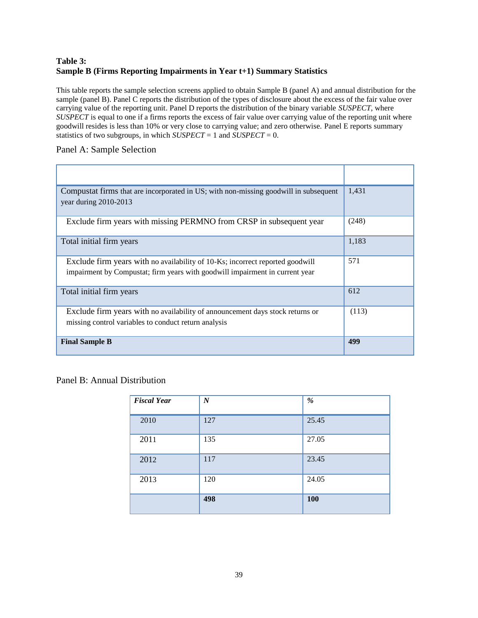## **Table 3: Sample B (Firms Reporting Impairments in Year t+1) Summary Statistics**

This table reports the sample selection screens applied to obtain Sample B (panel A) and annual distribution for the sample (panel B). Panel C reports the distribution of the types of disclosure about the excess of the fair value over carrying value of the reporting unit. Panel D reports the distribution of the binary variable *SUSPECT*, where *SUSPECT* is equal to one if a firms reports the excess of fair value over carrying value of the reporting unit where goodwill resides is less than 10% or very close to carrying value; and zero otherwise. Panel E reports summary statistics of two subgroups, in which  $SUSPECT = 1$  and  $SUSPECT = 0$ .

### Panel A: Sample Selection

| Compustat firms that are incorporated in US; with non-missing goodwill in subsequent<br>year during 2010-2013                                                 | 1,431 |
|---------------------------------------------------------------------------------------------------------------------------------------------------------------|-------|
| Exclude firm years with missing PERMNO from CRSP in subsequent year                                                                                           | (248) |
| Total initial firm years                                                                                                                                      | 1,183 |
| Exclude firm years with no availability of 10-Ks; incorrect reported goodwill<br>impairment by Compustat; firm years with goodwill impairment in current year | 571   |
| Total initial firm years                                                                                                                                      | 612   |
| Exclude firm years with no availability of announcement days stock returns or<br>missing control variables to conduct return analysis                         | (113) |
| <b>Final Sample B</b>                                                                                                                                         | 499   |

## Panel B: Annual Distribution

| <b>Fiscal Year</b> | $\boldsymbol{N}$ | $\%$  |
|--------------------|------------------|-------|
| 2010               | 127              | 25.45 |
| 2011               | 135              | 27.05 |
| 2012               | 117              | 23.45 |
| 2013               | 120              | 24.05 |
|                    | 498              | 100   |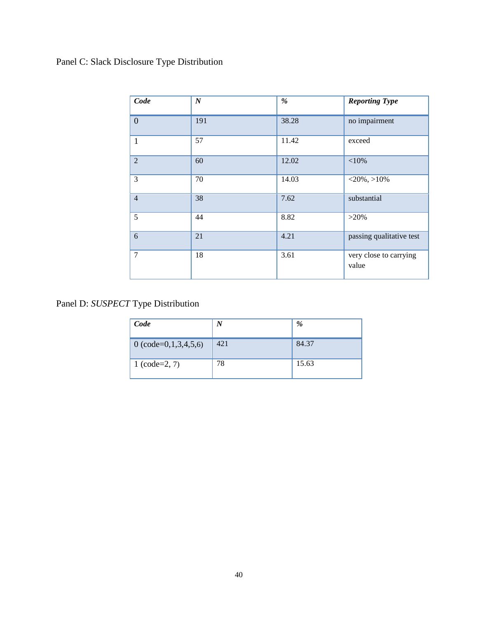# Panel C: Slack Disclosure Type Distribution

| Code           | $\boldsymbol{N}$ | %     | <b>Reporting Type</b>           |
|----------------|------------------|-------|---------------------------------|
| $\overline{0}$ | 191              | 38.28 | no impairment                   |
| $\mathbf{1}$   | 57               | 11.42 | exceed                          |
| $\overline{2}$ | 60               | 12.02 | ${<}10\%$                       |
| 3              | 70               | 14.03 | $<$ 20%, >10%                   |
| $\overline{4}$ | 38               | 7.62  | substantial                     |
| 5              | 44               | 8.82  | $>20\%$                         |
| 6              | 21               | 4.21  | passing qualitative test        |
| $\overline{7}$ | 18               | 3.61  | very close to carrying<br>value |

Panel D: *SUSPECT* Type Distribution

| Code                          | $\boldsymbol{N}$ | %     |
|-------------------------------|------------------|-------|
| 0 $\text{(code=0,1,3,4,5,6)}$ | 421              | 84.37 |
| $1 (code=2, 7)$               | 78               | 15.63 |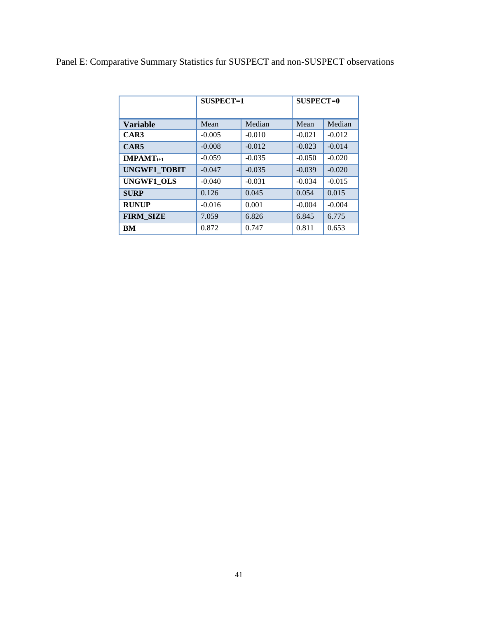|  |  | Panel E: Comparative Summary Statistics fur SUSPECT and non-SUSPECT observations |
|--|--|----------------------------------------------------------------------------------|
|--|--|----------------------------------------------------------------------------------|

|                     | $SUSPECT=1$ |          | $SUSPECT=0$ |          |
|---------------------|-------------|----------|-------------|----------|
| <b>Variable</b>     | Mean        | Median   | Mean        | Median   |
| CAR3                | $-0.005$    | $-0.010$ | $-0.021$    | $-0.012$ |
| CAR5                | $-0.008$    | $-0.012$ | $-0.023$    | $-0.014$ |
| $IMPAMT_{t+1}$      | $-0.059$    | $-0.035$ | $-0.050$    | $-0.020$ |
| <b>UNGWF1_TOBIT</b> | $-0.047$    | $-0.035$ | $-0.039$    | $-0.020$ |
| <b>UNGWF1 OLS</b>   | $-0.040$    | $-0.031$ | $-0.034$    | $-0.015$ |
| <b>SURP</b>         | 0.126       | 0.045    | 0.054       | 0.015    |
| <b>RUNUP</b>        | $-0.016$    | 0.001    | $-0.004$    | $-0.004$ |
| <b>FIRM SIZE</b>    | 7.059       | 6.826    | 6.845       | 6.775    |
| BM                  | 0.872       | 0.747    | 0.811       | 0.653    |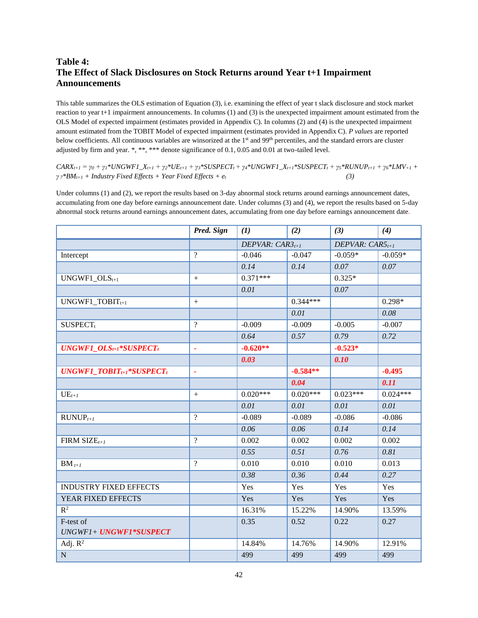## **Table 4: The Effect of Slack Disclosures on Stock Returns around Year t+1 Impairment Announcements**

This table summarizes the OLS estimation of Equation (3), i.e. examining the effect of year t slack disclosure and stock market reaction to year t+1 impairment announcements. In columns (1) and (3) is the unexpected impairment amount estimated from the OLS Model of expected impairment (estimates provided in Appendix C). In columns (2) and (4) is the unexpected impairment amount estimated from the TOBIT Model of expected impairment (estimates provided in Appendix C). *P values* are reported below coefficients. All continuous variables are winsorized at the 1<sup>st</sup> and 99<sup>th</sup> percentiles, and the standard errors are cluster adjusted by firm and year. \*, \*\*, \*\*\* denote significance of 0.1, 0.05 and 0.01 at two-tailed level.

 $CARX_{t+1} = y_0 + y_1*UNGWFI\_X_{t+1} + y_2*UE_{t+1} + y_3*SUSPECT_t + y_4*UNGWFI\_X_{t+1}*SUSPECT_t + y_5*RUNUP_{t+1} + y_6*LMV_{t+1}$ *γ <sup>7</sup>\*BMt+1 + Industry Fixed Effects + Year Fixed Effects + et (3)*

Under columns (1) and (2), we report the results based on 3-day abnormal stock returns around earnings announcement dates, accumulating from one day before earnings announcement date. Under columns (3) and (4), we report the results based on 5-day abnormal stock returns around earnings announcement dates, accumulating from one day before earnings announcement date.

|                                 | Pred. Sign       | (1)                  | (2)        | (3)                  | (4)        |
|---------------------------------|------------------|----------------------|------------|----------------------|------------|
|                                 |                  | DEPVAR: $CAR3_{t+1}$ |            | DEPVAR: $CAR5_{t+1}$ |            |
| Intercept                       | $\overline{?}$   | $-0.046$             | $-0.047$   | $-0.059*$            | $-0.059*$  |
|                                 |                  | 0.14                 | 0.14       | 0.07                 | 0.07       |
| $UNGWF1\_OLS_{t+1}$             | $\boldsymbol{+}$ | $0.371***$           |            | $0.325*$             |            |
|                                 |                  | 0.01                 |            | 0.07                 |            |
| UNGWF1_TOBIT $_{t+1}$           | $+$              |                      | $0.344***$ |                      | $0.298*$   |
|                                 |                  |                      | 0.01       |                      | 0.08       |
| SUSPECT <sub>t</sub>            | $\overline{?}$   | $-0.009$             | $-0.009$   | $-0.005$             | $-0.007$   |
|                                 |                  | 0.64                 | 0.57       | 0.79                 | 0.72       |
| $UNGWF1\_OLS_{t+1}*SUSPECT_t$   | ×                | $-0.620**$           |            | $-0.523*$            |            |
|                                 |                  | 0.03                 |            | 0.10                 |            |
| $UNGWF1\_TOBIT_{t+1}*SUSPECT_t$ | ä,               |                      | $-0.584**$ |                      | $-0.495$   |
|                                 |                  |                      | 0.04       |                      | 0.11       |
| $UE_{t+1}$                      | $\boldsymbol{+}$ | $0.020***$           | $0.020***$ | $0.023***$           | $0.024***$ |
|                                 |                  | 0.01                 | 0.01       | 0.01                 | 0.01       |
| $RUNUP_{t+1}$                   | $\gamma$         | $-0.089$             | $-0.089$   | $-0.086$             | $-0.086$   |
|                                 |                  | 0.06                 | 0.06       | 0.14                 | 0.14       |
| FIRM SIZE $_{t+1}$              | $\gamma$         | 0.002                | 0.002      | 0.002                | 0.002      |
|                                 |                  | 0.55                 | 0.51       | 0.76                 | 0.81       |
| $BM_{t+1}$                      | $\gamma$         | 0.010                | 0.010      | 0.010                | 0.013      |
|                                 |                  | 0.38                 | 0.36       | 0.44                 | 0.27       |
| <b>INDUSTRY FIXED EFFECTS</b>   |                  | Yes                  | Yes        | Yes                  | Yes        |
| YEAR FIXED EFFECTS              |                  | Yes                  | Yes        | Yes                  | Yes        |
| $\overline{\mathbf{R}^2}$       |                  | 16.31%               | 15.22%     | 14.90%               | 13.59%     |
| F-test of                       |                  | 0.35                 | 0.52       | 0.22                 | 0.27       |
| UNGWF1+ UNGWF1*SUSPECT          |                  |                      |            |                      |            |
| Adj. $R^2$                      |                  | 14.84%               | 14.76%     | 14.90%               | 12.91%     |
| ${\bf N}$                       |                  | 499                  | 499        | 499                  | 499        |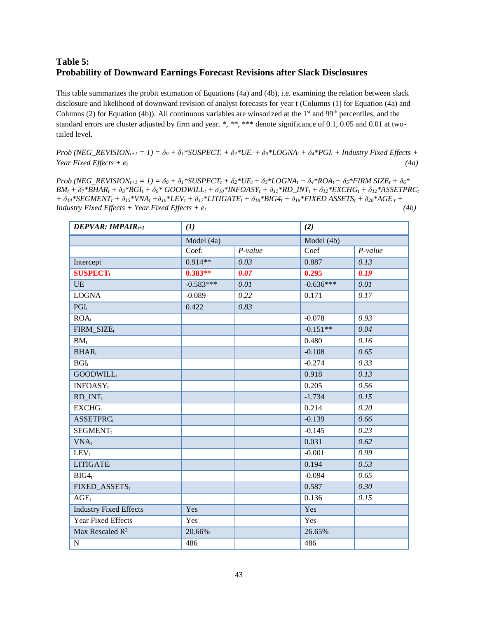## **Table 5: Probability of Downward Earnings Forecast Revisions after Slack Disclosures**

This table summarizes the probit estimation of Equations (4a) and (4b), i.e. examining the relation between slack disclosure and likelihood of downward revision of analyst forecasts for year t (Columns (1) for Equation (4a) and Columns (2) for Equation (4b)). All continuous variables are winsorized at the  $1<sup>st</sup>$  and 99<sup>th</sup> percentiles, and the standard errors are cluster adjusted by firm and year. \*, \*\*, \*\*\* denote significance of 0.1, 0.05 and 0.01 at twotailed level.

Prob (NEG\_REVISION<sub>t+1</sub> = 1) =  $\delta_0 + \delta_1$ \*SUSPECT<sub>t</sub> +  $\delta_2$ \*UE<sub>t</sub> +  $\delta_3$ \*LOGNA<sub>t</sub> +  $\delta_4$ \*PGI<sub>t</sub> + Industry Fixed Effects + *Year Fixed Effects + et (4a)*

Prob (NEG\_REVISION<sub>t+1</sub> = 1) =  $\delta_0 + \delta_1$ \*SUSPECT<sub>t</sub> +  $\delta_2$ \*UE<sub>t</sub> +  $\delta_3$ \*LOGNA<sub>t</sub> +  $\delta_4$ \*ROA<sub>t</sub> +  $\delta_5$ \*FIRM SIZE<sub>t</sub> +  $\delta_6$ \*  $BM_t + \delta_7 * BHAR_t + \delta_8 * BGI_t + \delta_9 * GOODWILL_t + \delta_{10} * INFOASY_t + \delta_{11} * RD\_INT_t + \delta_{12} * EXCHG_t + \delta_{12} * ASSETPRC_t$  $+\delta_{14} * SEGMENT_t + \delta_{15} * VNA_t + \delta_{16} * LEV_t + \delta_{17} * LITIGATE_t + \delta_{18} * BIG4_t + \delta_{19} * FIXED ASSETS_t + \delta_{20} * AGE_t +$ *Industry Fixed Effects + Year Fixed Effects +*  $e_t$  (4b)

| <b>DEPVAR: IMPAIR</b> $_{t+1}$ | (1)         |           | (2)         |           |
|--------------------------------|-------------|-----------|-------------|-----------|
|                                | Model (4a)  |           | Model (4b)  |           |
|                                | Coef.       | $P-value$ | Coef        | $P-value$ |
| Intercept                      | $0.914**$   | 0.03      | 0.887       | 0.13      |
| <b>SUSPECT</b> <sub>t</sub>    | $0.383**$   | 0.07      | 0.295       | 0.19      |
| <b>UE</b>                      | $-0.583***$ | 0.01      | $-0.636***$ | 0.01      |
| <b>LOGNA</b>                   | $-0.089$    | 0.22      | 0.171       | 0.17      |
| $PGI_t$                        | 0.422       | 0.83      |             |           |
| $ROA_t$                        |             |           | $-0.078$    | 0.93      |
| FIRM_SIZEt                     |             |           | $-0.151**$  | 0.04      |
| $BM_t$                         |             |           | 0.480       | 0.16      |
| BHAR <sub>t</sub>              |             |           | $-0.108$    | 0.65      |
| $\overline{BGI_t}$             |             |           | $-0.274$    | 0.33      |
| GOODWILL <sub>t</sub>          |             |           | 0.918       | 0.13      |
| <b>INFOASY</b> <sub>t</sub>    |             |           | 0.205       | 0.56      |
| $RD$ _INT <sub>t</sub>         |             |           | $-1.734$    | 0.15      |
| $EXCHG_t$                      |             |           | 0.214       | 0.20      |
| <b>ASSETPRCt</b>               |             |           | $-0.139$    | 0.66      |
| SEGMENT <sub>t</sub>           |             |           | $-0.145$    | 0.23      |
| $VNA_t$                        |             |           | 0.031       | 0.62      |
| $LEV_t$                        |             |           | $-0.001$    | 0.99      |
| LITIGATE <sub>t</sub>          |             |           | 0.194       | 0.53      |
| BIG4 <sub>t</sub>              |             |           | $-0.094$    | 0.65      |
| FIXED_ASSETS <sub>t</sub>      |             |           | 0.587       | 0.30      |
| $AGE_t$                        |             |           | 0.136       | 0.15      |
| <b>Industry Fixed Effects</b>  | Yes         |           | Yes         |           |
| Year Fixed Effects             | Yes         |           | Yes         |           |
| Max Rescaled $R^2$             | 20.66%      |           | 26.65%      |           |
| ${\bf N}$                      | 486         |           | 486         |           |